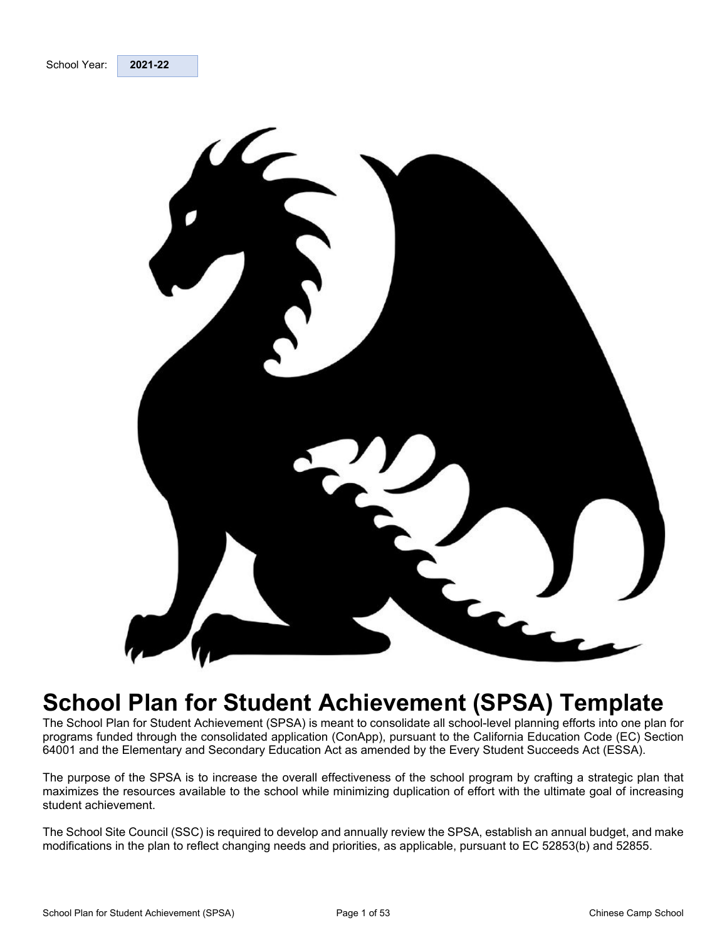<span id="page-0-3"></span><span id="page-0-2"></span><span id="page-0-1"></span><span id="page-0-0"></span>

# **School Plan for Student Achievement (SPSA) Template**

The School Plan for Student Achievement (SPSA) is meant to consolidate all school-level planning efforts into one plan for programs funded through the consolidated application (ConApp), pursuant to the California Education Code (EC) Section 64001 and the Elementary and Secondary Education Act as amended by the Every Student Succeeds Act (ESSA).

The purpose of the SPSA is to increase the overall effectiveness of the school program by crafting a strategic plan that maximizes the resources available to the school while minimizing duplication of effort with the ultimate goal of increasing student achievement.

The School Site Council (SSC) is required to develop and annually review the SPSA, establish an annual budget, and make modifications in the plan to reflect changing needs and priorities, as applicable, pursuant to EC 52853(b) and 52855.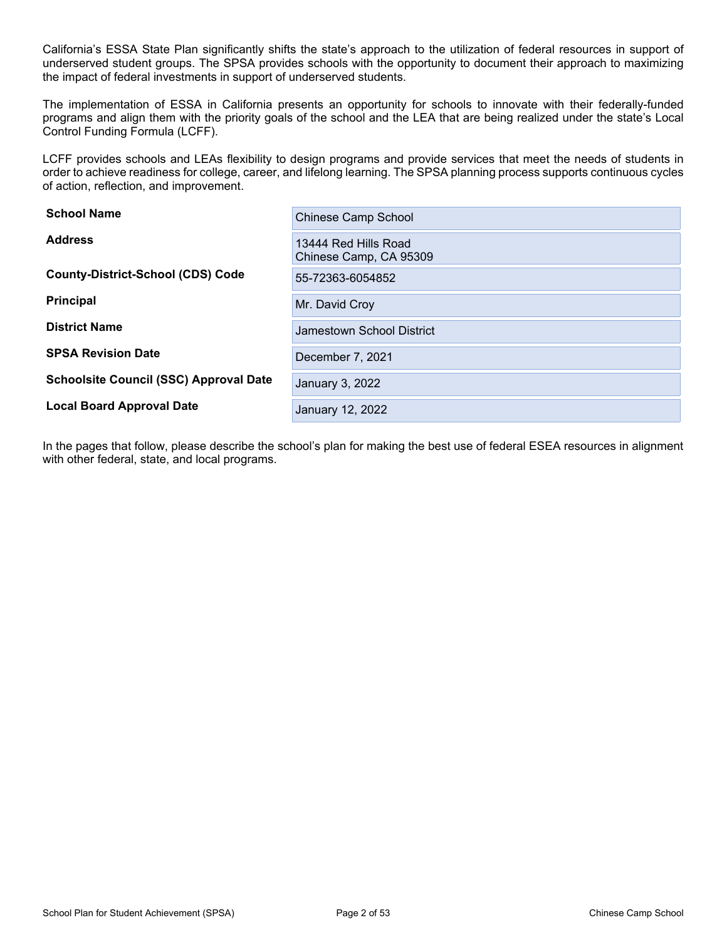California's ESSA State Plan significantly shifts the state's approach to the utilization of federal resources in support of underserved student groups. The SPSA provides schools with the opportunity to document their approach to maximizing the impact of federal investments in support of underserved students.

The implementation of ESSA in California presents an opportunity for schools to innovate with their federally-funded programs and align them with the priority goals of the school and the LEA that are being realized under the state's Local Control Funding Formula (LCFF).

LCFF provides schools and LEAs flexibility to design programs and provide services that meet the needs of students in order to achieve readiness for college, career, and lifelong learning. The SPSA planning process supports continuous cycles of action, reflection, and improvement.

| <b>School Name</b>                            | <b>Chinese Camp School</b>                     |
|-----------------------------------------------|------------------------------------------------|
| <b>Address</b>                                | 13444 Red Hills Road<br>Chinese Camp, CA 95309 |
| <b>County-District-School (CDS) Code</b>      | 55-72363-6054852                               |
| <b>Principal</b>                              | Mr. David Croy                                 |
| <b>District Name</b>                          | Jamestown School District                      |
| <b>SPSA Revision Date</b>                     | December 7, 2021                               |
| <b>Schoolsite Council (SSC) Approval Date</b> | January 3, 2022                                |
| <b>Local Board Approval Date</b>              | January 12, 2022                               |

In the pages that follow, please describe the school's plan for making the best use of federal ESEA resources in alignment with other federal, state, and local programs.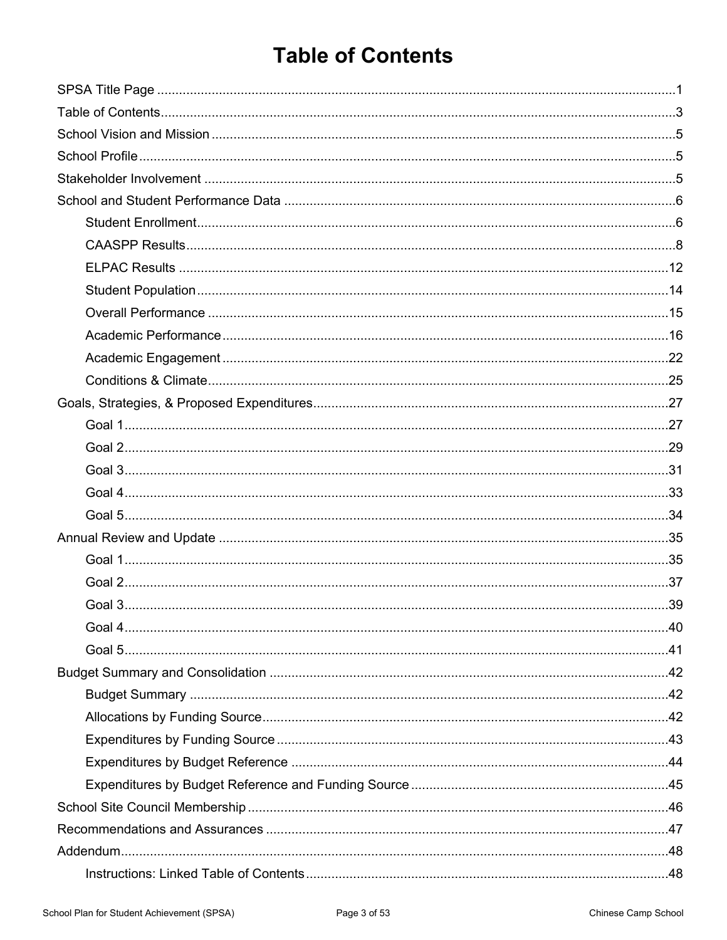# <span id="page-2-0"></span>**Table of Contents**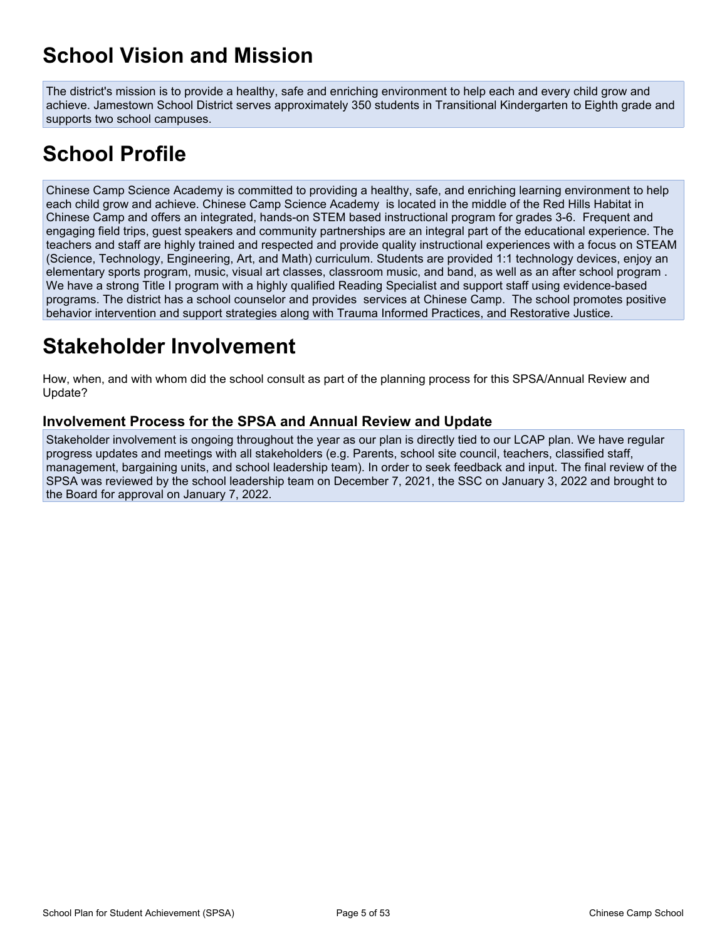# <span id="page-4-0"></span>**School Vision and Mission**

The district's mission is to provide a healthy, safe and enriching environment to help each and every child grow and achieve. Jamestown School District serves approximately 350 students in Transitional Kindergarten to Eighth grade and supports two school campuses.

# <span id="page-4-1"></span>**School Profile**

Chinese Camp Science Academy is committed to providing a healthy, safe, and enriching learning environment to help each child grow and achieve. Chinese Camp Science Academy is located in the middle of the Red Hills Habitat in Chinese Camp and offers an integrated, hands-on STEM based instructional program for grades 3-6. Frequent and engaging field trips, guest speakers and community partnerships are an integral part of the educational experience. The teachers and staff are highly trained and respected and provide quality instructional experiences with a focus on STEAM (Science, Technology, Engineering, Art, and Math) curriculum. Students are provided 1:1 technology devices, enjoy an elementary sports program, music, visual art classes, classroom music, and band, as well as an after school program . We have a strong Title I program with a highly qualified Reading Specialist and support staff using evidence-based programs. The district has a school counselor and provides services at Chinese Camp. The school promotes positive behavior intervention and support strategies along with Trauma Informed Practices, and Restorative Justice.

# <span id="page-4-2"></span>**Stakeholder Involvement**

How, when, and with whom did the school consult as part of the planning process for this SPSA/Annual Review and Update?

#### **Involvement Process for the SPSA and Annual Review and Update**

Stakeholder involvement is ongoing throughout the year as our plan is directly tied to our LCAP plan. We have regular progress updates and meetings with all stakeholders (e.g. Parents, school site council, teachers, classified staff, management, bargaining units, and school leadership team). In order to seek feedback and input. The final review of the SPSA was reviewed by the school leadership team on December 7, 2021, the SSC on January 3, 2022 and brought to the Board for approval on January 7, 2022.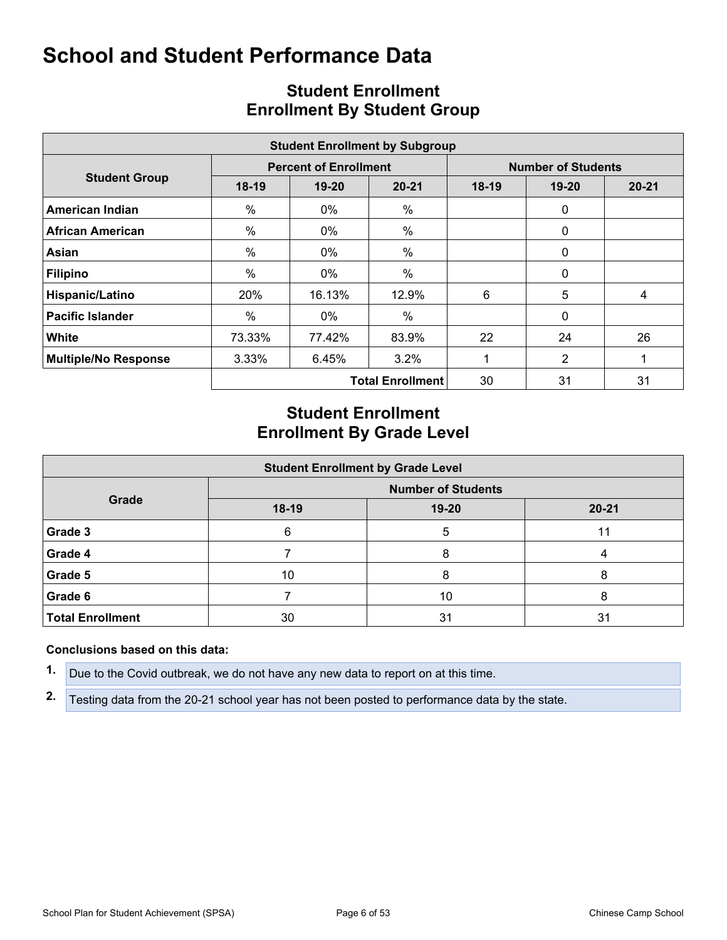<span id="page-5-0"></span>

|                             |         |                              | <b>Student Enrollment by Subgroup</b> |                           |                |           |  |  |
|-----------------------------|---------|------------------------------|---------------------------------------|---------------------------|----------------|-----------|--|--|
|                             |         | <b>Percent of Enrollment</b> |                                       | <b>Number of Students</b> |                |           |  |  |
| <b>Student Group</b>        | $18-19$ | $19 - 20$                    | $20 - 21$                             | $18-19$                   | $19 - 20$      | $20 - 21$ |  |  |
| <b>American Indian</b>      | $\%$    | $0\%$                        | %                                     |                           | $\mathbf 0$    |           |  |  |
| <b>African American</b>     | $\%$    | $0\%$                        | $\%$                                  |                           | 0              |           |  |  |
| Asian                       | $\%$    | $0\%$                        | $\frac{0}{0}$                         |                           | $\mathbf 0$    |           |  |  |
| <b>Filipino</b>             | %       | $0\%$                        | $\frac{0}{0}$                         |                           | $\Omega$       |           |  |  |
| Hispanic/Latino             | 20%     | 16.13%                       | 12.9%                                 | 6                         | 5              | 4         |  |  |
| <b>Pacific Islander</b>     | %       | 0%                           | $\%$                                  |                           | 0              |           |  |  |
| White                       | 73.33%  | 77.42%                       | 83.9%                                 | 22                        | 24             | 26        |  |  |
| <b>Multiple/No Response</b> | 3.33%   | 6.45%                        | $3.2\%$                               |                           | $\overline{2}$ |           |  |  |
|                             |         |                              | <b>Total Enrollment</b>               | 30                        | 31             | 31        |  |  |

## <span id="page-5-1"></span>**Student Enrollment Enrollment By Student Group**

## **Student Enrollment Enrollment By Grade Level**

| <b>Student Enrollment by Grade Level</b> |                           |       |           |  |  |  |  |  |  |  |
|------------------------------------------|---------------------------|-------|-----------|--|--|--|--|--|--|--|
| Grade                                    | <b>Number of Students</b> |       |           |  |  |  |  |  |  |  |
|                                          | 18-19                     | 19-20 | $20 - 21$ |  |  |  |  |  |  |  |
| Grade 3                                  | 6                         | 5     | 11        |  |  |  |  |  |  |  |
| Grade 4                                  |                           | 8     |           |  |  |  |  |  |  |  |
| Grade 5                                  | 10                        | 8     | 8         |  |  |  |  |  |  |  |
| Grade 6                                  |                           | 10    |           |  |  |  |  |  |  |  |
| <b>Total Enrollment</b>                  | 30                        | 31    | 31        |  |  |  |  |  |  |  |

#### **Conclusions based on this data:**

**1.** Due to the Covid outbreak, we do not have any new data to report on at this time.

**2.** Testing data from the 20-21 school year has not been posted to performance data by the state.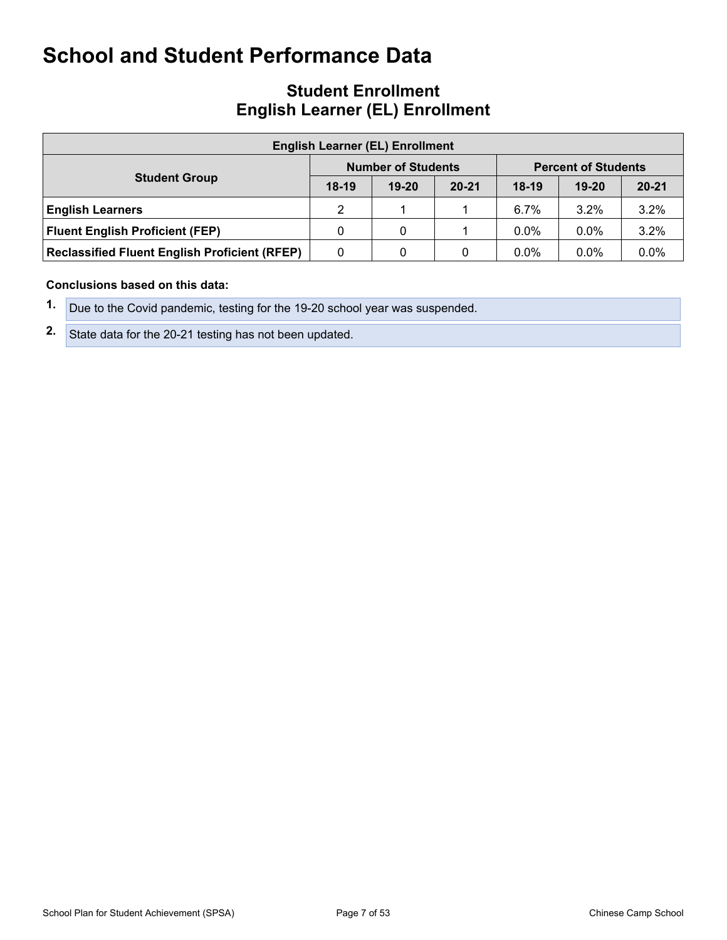## **Student Enrollment English Learner (EL) Enrollment**

| <b>English Learner (EL) Enrollment</b>               |         |                           |           |                            |           |           |  |  |  |  |
|------------------------------------------------------|---------|---------------------------|-----------|----------------------------|-----------|-----------|--|--|--|--|
|                                                      |         | <b>Number of Students</b> |           | <b>Percent of Students</b> |           |           |  |  |  |  |
| <b>Student Group</b>                                 | $18-19$ | $19 - 20$                 | $20 - 21$ | $18-19$                    | $19 - 20$ | $20 - 21$ |  |  |  |  |
| <b>English Learners</b>                              | 2       |                           |           | $6.7\%$                    | 3.2%      | 3.2%      |  |  |  |  |
| <b>Fluent English Proficient (FEP)</b>               | 0       | 0                         |           | $0.0\%$                    | $0.0\%$   | 3.2%      |  |  |  |  |
| <b>Reclassified Fluent English Proficient (RFEP)</b> | 0       | 0                         | 0         | $0.0\%$                    | $0.0\%$   | $0.0\%$   |  |  |  |  |

#### **Conclusions based on this data:**

- **1.** Due to the Covid pandemic, testing for the 19-20 school year was suspended.
- **2.** State data for the 20-21 testing has not been updated.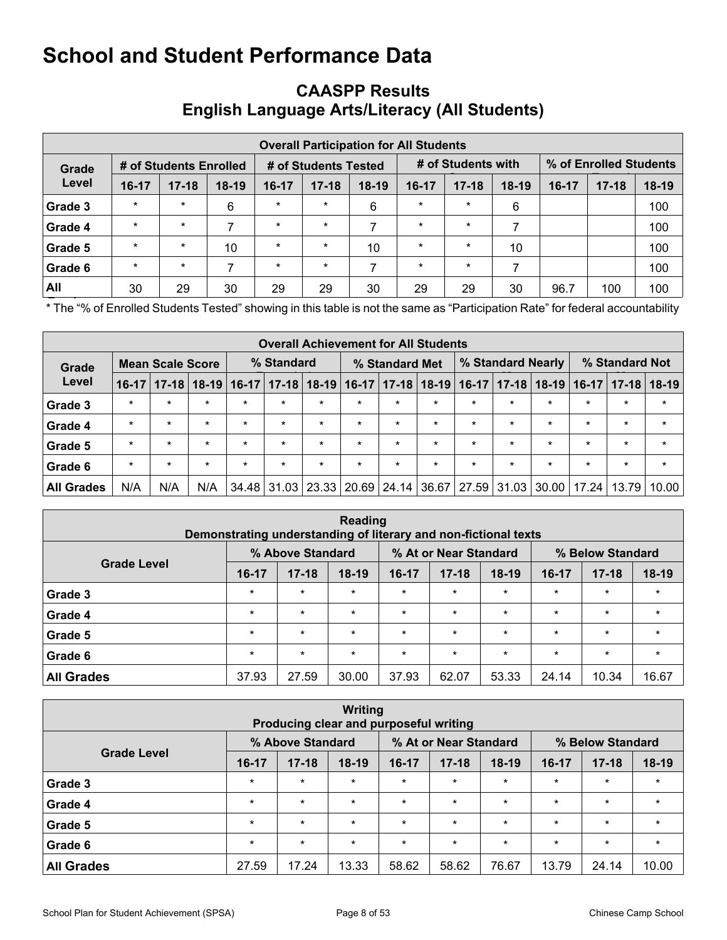## <span id="page-7-0"></span>**CAASPP Results English Language Arts/Literacy (All Students)**

|         | <b>Overall Participation for All Students</b> |                        |         |                      |           |         |                    |           |         |         |                        |         |  |
|---------|-----------------------------------------------|------------------------|---------|----------------------|-----------|---------|--------------------|-----------|---------|---------|------------------------|---------|--|
| Grade   |                                               | # of Students Enrolled |         | # of Students Tested |           |         | # of Students with |           |         |         | % of Enrolled Students |         |  |
| Level   | 16-17                                         | $17 - 18$              | $18-19$ | $16-17$              | $17 - 18$ | $18-19$ | $16 - 17$          | $17 - 18$ | $18-19$ | $16-17$ | $17 - 18$              | $18-19$ |  |
| Grade 3 | $\star$                                       | $\star$                | 6       | $\star$              | $\star$   | 6       | $\star$            | $\star$   | 6       |         |                        | 100     |  |
| Grade 4 | $\star$                                       | $\star$                | 7       | $\star$              | $\star$   | 7       | $\star$            | $\star$   |         |         |                        | 100     |  |
| Grade 5 | $\star$                                       | $\star$                | 10      | $\star$              | $\star$   | 10      | $\ast$             | $\star$   | 10      |         |                        | 100     |  |
| Grade 6 | $\star$                                       | $\star$                | 7       | $\star$              | $\star$   | ⇁       | $\star$            | $\ast$    |         |         |                        | 100     |  |
| All     | 30                                            | 29                     | 30      | 29                   | 29        | 30      | 29                 | 29        | 30      | 96.7    | 100                    | 100     |  |

**Fig. 2. The "% of Enrolled Students Tested" showing in this table is not the same as "Participation Rate" for federal accountability** purposes.

|                   | <b>Overall Achievement for All Students</b> |           |         |                 |             |                   |             |         |                   |         |                 |                |                 |           |         |
|-------------------|---------------------------------------------|-----------|---------|-----------------|-------------|-------------------|-------------|---------|-------------------|---------|-----------------|----------------|-----------------|-----------|---------|
| Grade             | <b>Mean Scale Score</b>                     |           |         | % Standard      |             | % Standard Met    |             |         | % Standard Nearly |         |                 | % Standard Not |                 |           |         |
| Level             | $16-17$                                     | $17 - 18$ |         | $18-19$   16-17 |             | $17 - 18$   18-19 | $16-17$     |         | $17 - 18$   18-19 |         | $16-17$   17-18 |                | $18-19$   16-17 | $17 - 18$ | $18-19$ |
| Grade 3           | $\star$                                     | $\star$   | $\star$ | $\star$         | $\star$     | $\star$           | $\star$     | $\star$ | $\star$           | $\star$ | $\star$         | $\star$        | $\star$         | $\star$   | $\star$ |
| Grade 4           | $\star$                                     | $\star$   | $\star$ | $\star$         | $\star$     | $\star$           | $\star$     | $\star$ | $\star$           | $\star$ | $\star$         | $\star$        | $\star$         | $\star$   | $\star$ |
| Grade 5           | $\star$                                     | $\star$   | $\star$ | $\star$         | $\star$     | $\star$           | $\star$     | $\star$ | $\star$           | $\star$ | $\star$         | $\star$        | $\star$         | $\star$   | $\star$ |
| Grade 6           | $\star$                                     | $\star$   | $\star$ | $\star$         | $\star$     | $\star$           | $\star$     | $\star$ | $\star$           | $\star$ | $\star$         | $\star$        | $\star$         | $\star$   | $\star$ |
| <b>All Grades</b> | N/A                                         | N/A       | N/A     |                 | 34.48 31.03 |                   | 23.33 20.69 | 24.14   | 36.67             | 27.59   | 31.03           | 30.00          | $17.24$ J       | 13.79     | 10.00   |

| Reading<br>Demonstrating understanding of literary and non-fictional texts |         |                  |         |         |                       |         |                  |           |         |  |
|----------------------------------------------------------------------------|---------|------------------|---------|---------|-----------------------|---------|------------------|-----------|---------|--|
|                                                                            |         | % Above Standard |         |         | % At or Near Standard |         | % Below Standard |           |         |  |
| <b>Grade Level</b>                                                         | $16-17$ | $17 - 18$        | $18-19$ | $16-17$ | $17 - 18$             | $18-19$ | 16-17            | $17 - 18$ | $18-19$ |  |
| Grade 3                                                                    | $\star$ | $\star$          | $\star$ | $\star$ | $\star$               | $\star$ | $\star$          | $\star$   | $\star$ |  |
| Grade 4                                                                    | $\star$ | $\star$          | $\star$ | $\star$ | $\star$               | $\star$ | $\star$          | $\star$   | $\star$ |  |
| Grade 5                                                                    | $\star$ | $\star$          | $\star$ | $\star$ | $\star$               | $\star$ | $\star$          | $\star$   | $\star$ |  |
| Grade 6                                                                    | $\star$ | $\star$          | $\star$ | $\star$ | $\star$               | $\star$ | $\star$          | $\star$   | $\star$ |  |
| <b>All Grades</b>                                                          | 37.93   | 27.59            | 30.00   | 37.93   | 62.07                 | 53.33   | 24.14            | 10.34     | 16.67   |  |

| Writing<br>Producing clear and purposeful writing |         |                  |         |         |                       |         |         |                  |         |  |
|---------------------------------------------------|---------|------------------|---------|---------|-----------------------|---------|---------|------------------|---------|--|
|                                                   |         | % Above Standard |         |         | % At or Near Standard |         |         | % Below Standard |         |  |
| <b>Grade Level</b>                                | $16-17$ | $17 - 18$        | $18-19$ | $16-17$ | $17 - 18$             | $18-19$ | 16-17   | $17 - 18$        | $18-19$ |  |
| Grade 3                                           | $\star$ | $\star$          | $\star$ | $\star$ | $\star$               | $\star$ | $\star$ | $\star$          | $\star$ |  |
| Grade 4                                           | $\star$ | $\star$          | $\star$ | $\star$ | $\star$               | $\star$ | $\star$ | $\star$          | $\star$ |  |
| Grade 5                                           | $\star$ | $\star$          | $\star$ | $\star$ | $\star$               | $\star$ | $\star$ | $\star$          | $\star$ |  |
| Grade 6                                           | $\star$ | $\star$          | $\star$ | $\star$ | $\star$               | $\star$ | $\star$ | $\star$          | $\star$ |  |
| <b>All Grades</b>                                 | 27.59   | 17.24            | 13.33   | 58.62   | 58.62                 | 76.67   | 13.79   | 24.14            | 10.00   |  |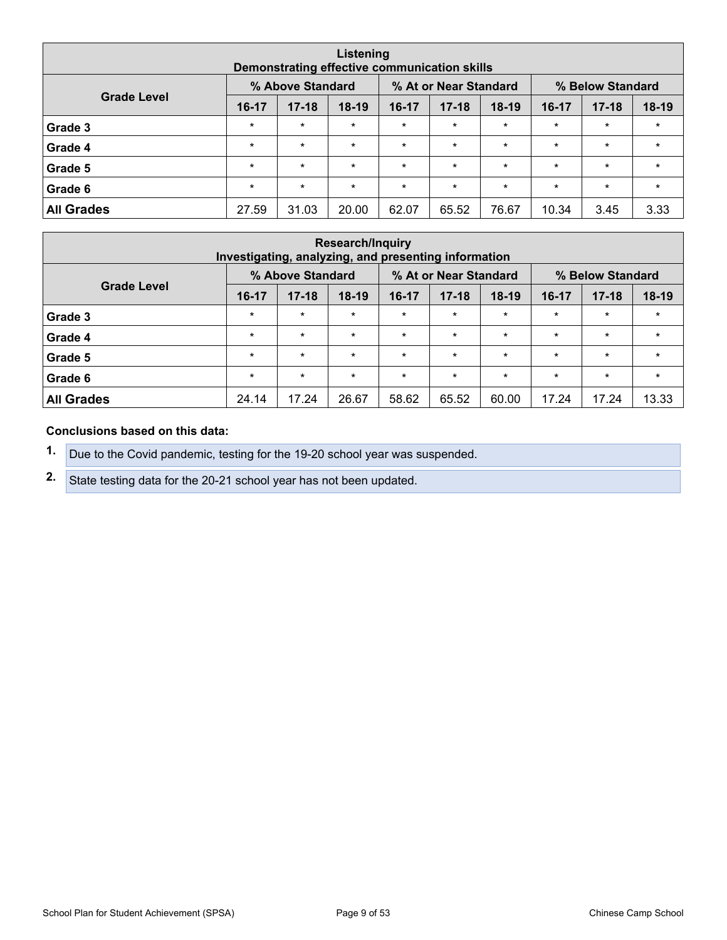| Listening<br>Demonstrating effective communication skills |         |                  |         |         |                       |         |         |                  |         |  |
|-----------------------------------------------------------|---------|------------------|---------|---------|-----------------------|---------|---------|------------------|---------|--|
|                                                           |         | % Above Standard |         |         | % At or Near Standard |         |         | % Below Standard |         |  |
| <b>Grade Level</b>                                        | $16-17$ | $17 - 18$        | $18-19$ | 16-17   | $17 - 18$             | $18-19$ | 16-17   | $17 - 18$        | $18-19$ |  |
| Grade 3                                                   | $\star$ | $\star$          | $\star$ | $\star$ | $\star$               | $\star$ | $\star$ | $\star$          | $\star$ |  |
| Grade 4                                                   | $\star$ | $\star$          | $\star$ | $\star$ | $\star$               | $\star$ | $\star$ | $\star$          | $\star$ |  |
| Grade 5                                                   | $\star$ | $\star$          | $\star$ | $\star$ | $\star$               | $\star$ | $\star$ | $\star$          | $\star$ |  |
| Grade 6                                                   | $\star$ | $\star$          | $\star$ | $\star$ | $\star$               | $\star$ | $\star$ | $\star$          | $\star$ |  |
| <b>All Grades</b>                                         | 27.59   | 31.03            | 20.00   | 62.07   | 65.52                 | 76.67   | 10.34   | 3.45             | 3.33    |  |

| <b>Research/Inquiry</b><br>Investigating, analyzing, and presenting information |         |                  |         |         |                       |         |         |                  |         |  |
|---------------------------------------------------------------------------------|---------|------------------|---------|---------|-----------------------|---------|---------|------------------|---------|--|
|                                                                                 |         | % Above Standard |         |         | % At or Near Standard |         |         | % Below Standard |         |  |
| <b>Grade Level</b>                                                              | $16-17$ | $17 - 18$        | $18-19$ | 16-17   | $17 - 18$             | $18-19$ | $16-17$ | $17 - 18$        | $18-19$ |  |
| Grade 3                                                                         | $\star$ | $\star$          | $\star$ | $\star$ | $\star$               | $\star$ | $\star$ | $\star$          | $\star$ |  |
| Grade 4                                                                         | $\star$ | $\star$          | $\star$ | $\star$ | $\star$               | $\star$ | $\star$ | $\star$          | $\star$ |  |
| Grade 5                                                                         | $\star$ | $\star$          | $\star$ | $\star$ | $\star$               | $\star$ | $\star$ | $\star$          | $\star$ |  |
| Grade 6                                                                         | $\star$ | $\star$          | $\star$ | $\star$ | $\star$               | $\star$ | $\star$ | $\star$          | $\star$ |  |
| <b>All Grades</b>                                                               | 24.14   | 17.24            | 26.67   | 58.62   | 65.52                 | 60.00   | 17.24   | 17.24            | 13.33   |  |

#### **Conclusions based on this data:**

**1.** Due to the Covid pandemic, testing for the 19-20 school year was suspended.

**2.** State testing data for the 20-21 school year has not been updated.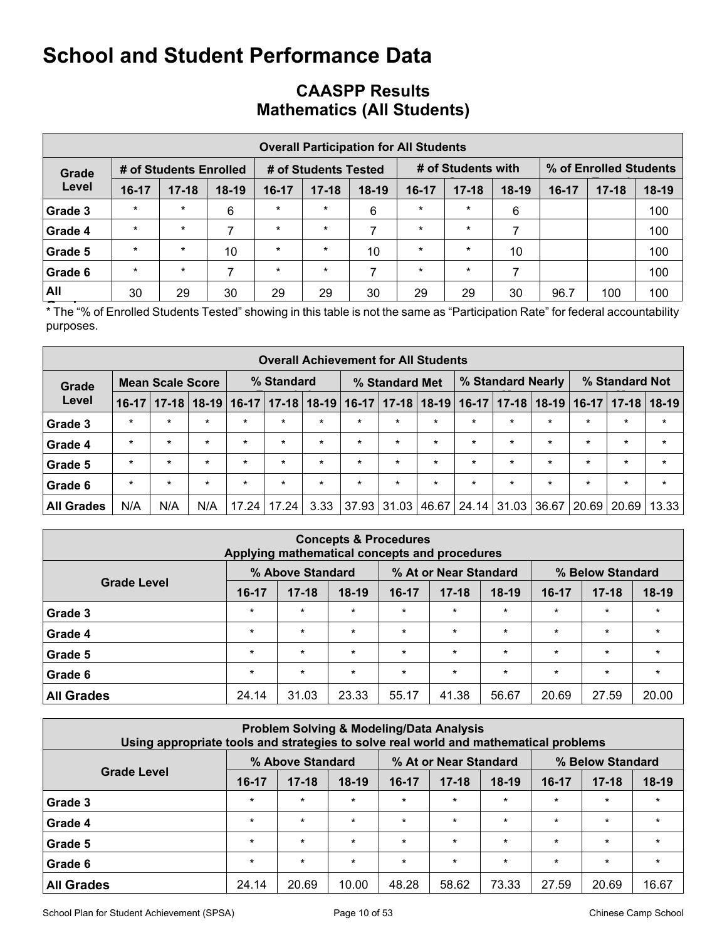## **CAASPP Results Mathematics (All Students)**

|                                                                                                         | <b>Overall Participation for All Students</b> |           |         |         |           |         |           |           |         |         |           |       |  |  |  |
|---------------------------------------------------------------------------------------------------------|-----------------------------------------------|-----------|---------|---------|-----------|---------|-----------|-----------|---------|---------|-----------|-------|--|--|--|
| % of Enrolled Students<br># of Students with<br># of Students Enrolled<br># of Students Tested<br>Grade |                                               |           |         |         |           |         |           |           |         |         |           |       |  |  |  |
| Level                                                                                                   | $16 - 17$                                     | $17 - 18$ | $18-19$ | $16-17$ | $17 - 18$ | $18-19$ | $16 - 17$ | $17 - 18$ | $18-19$ | $16-17$ | $17 - 18$ | 18-19 |  |  |  |
| Grade 3                                                                                                 | $\star$                                       | $\star$   | 6       | $\star$ | $\star$   | 6       | $\ast$    | $\star$   | 6       |         |           | 100   |  |  |  |
| Grade 4                                                                                                 | $\star$                                       | $\star$   | 7       | $\star$ | $\star$   | 7       | $\star$   | $\ast$    |         |         |           | 100   |  |  |  |
| Grade 5                                                                                                 | $\star$                                       | $\star$   | 10      | $\star$ | $\star$   | 10      | $\star$   | $\ast$    | 10      |         |           | 100   |  |  |  |
| Grade 6                                                                                                 | $\star$                                       | $\star$   |         | $\star$ | $\star$   |         | $\star$   | $\star$   |         |         |           | 100   |  |  |  |
| All                                                                                                     | 30                                            | 29        | 30      | 29      | 29        | 30      | 29        | 29        | 30      | 96.7    | 100       | 100   |  |  |  |

**Frace "% of Enrolled Students Tested" showing in this table is not the same as "Participation Rate" for federal accountability** purposes.

|                   |         |                         |         |                 |                                                                     | <b>Overall Achievement for All Students</b> |         |         |             |         |                 |         |                 |           |         |
|-------------------|---------|-------------------------|---------|-----------------|---------------------------------------------------------------------|---------------------------------------------|---------|---------|-------------|---------|-----------------|---------|-----------------|-----------|---------|
| Grade             |         | <b>Mean Scale Score</b> |         |                 | % Standard Not<br>% Standard Nearly<br>% Standard<br>% Standard Met |                                             |         |         |             |         |                 |         |                 |           |         |
| Level             | $16-17$ | $17 - 18$               |         | $18-19$   16-17 | $17 - 18$                                                           | $18-19$                                     | $16-17$ |         | 17-18 18-19 |         | $16-17$   17-18 |         | $18-19$   16-17 | $17 - 18$ | $18-19$ |
| Grade 3           | $\star$ | $\star$                 | $\star$ | $\star$         | $\star$                                                             | $\star$                                     | $\star$ | $\star$ | $\star$     | $\star$ | $\star$         | $\star$ | $\star$         | $\star$   | $\ast$  |
| Grade 4           | $\star$ | $\star$                 | $\star$ | $\star$         | $\star$                                                             | $\star$                                     | $\star$ | $\star$ | $\star$     | $\star$ | $\star$         | $\star$ | $\star$         | $\star$   | $\star$ |
| Grade 5           | $\star$ | $\star$                 | $\star$ | $\star$         | $\star$                                                             | $\star$                                     | $\star$ | $\star$ | $\star$     | $\star$ | $\pm$           | $\star$ | $\star$         | $\star$   | $\star$ |
| Grade 6           | $\star$ | $\star$                 | $\star$ | $\star$         | $\star$                                                             | $\star$                                     | $\star$ | $\star$ | $\star$     | $\star$ | $\star$         | $\star$ | $\star$         | $\star$   | $\star$ |
| <b>All Grades</b> | N/A     | N/A                     | N/A     | 17.24           | 17.24                                                               | 3.33                                        | 37.93   | 31.03   | 46.67       | 24.14   | 31.03           | 36.67   | 20.69           | 20.69     | 13.33   |

|                                                               | Applying mathematical concepts and procedures |           | <b>Concepts &amp; Procedures</b> |         |           |         |         |           |         |  |  |
|---------------------------------------------------------------|-----------------------------------------------|-----------|----------------------------------|---------|-----------|---------|---------|-----------|---------|--|--|
| % At or Near Standard<br>% Below Standard<br>% Above Standard |                                               |           |                                  |         |           |         |         |           |         |  |  |
| <b>Grade Level</b>                                            | 16-17                                         | $17 - 18$ | $18-19$                          | 16-17   | $17 - 18$ | $18-19$ | 16-17   | $17 - 18$ | $18-19$ |  |  |
| Grade 3                                                       | $\star$                                       | $\star$   | $\star$                          | $\star$ | $\star$   | $\star$ | $\star$ | $\star$   | $\star$ |  |  |
| Grade 4                                                       | $\star$                                       | $\star$   | $\star$                          | $\star$ | $\star$   | $\star$ | $\star$ | $\star$   | $\star$ |  |  |
| Grade 5                                                       | $\star$                                       | $\star$   | $\star$                          | $\star$ | $\star$   | $\star$ | $\star$ | $\star$   | $\star$ |  |  |
| Grade 6                                                       | $\star$                                       | $\star$   | $\star$                          | $\star$ | $\star$   | $\star$ | $\star$ | $\star$   | $\star$ |  |  |
| <b>All Grades</b>                                             | 24.14                                         | 31.03     | 23.33                            | 55.17   | 41.38     | 56.67   | 20.69   | 27.59     | 20.00   |  |  |

| <b>Problem Solving &amp; Modeling/Data Analysis</b><br>Using appropriate tools and strategies to solve real world and mathematical problems |         |           |         |         |           |         |         |           |         |  |  |  |  |
|---------------------------------------------------------------------------------------------------------------------------------------------|---------|-----------|---------|---------|-----------|---------|---------|-----------|---------|--|--|--|--|
| % Above Standard<br>% At or Near Standard<br>% Below Standard<br><b>Grade Level</b>                                                         |         |           |         |         |           |         |         |           |         |  |  |  |  |
|                                                                                                                                             | 16-17   | $17 - 18$ | $18-19$ | 16-17   | $17 - 18$ | $18-19$ | 16-17   | $17 - 18$ | $18-19$ |  |  |  |  |
| Grade 3                                                                                                                                     | $\star$ | $\star$   | $\star$ | $\star$ | $\star$   | $\star$ | $\star$ | $\star$   | $\star$ |  |  |  |  |
| Grade 4                                                                                                                                     | $\star$ | $\star$   | $\star$ | $\star$ | $\star$   | $\star$ | $\star$ | $\star$   | $\star$ |  |  |  |  |
| Grade 5                                                                                                                                     | $\star$ | $\star$   | $\star$ | $\star$ | $\star$   | $\star$ | $\star$ | $\star$   | $\star$ |  |  |  |  |
| Grade 6                                                                                                                                     | $\star$ | $\star$   | $\star$ | $\star$ | $\star$   | $\star$ | $\star$ | $\star$   | $\star$ |  |  |  |  |
| <b>All Grades</b>                                                                                                                           | 24.14   | 20.69     | 10.00   | 48.28   | 58.62     | 73.33   | 27.59   | 20.69     | 16.67   |  |  |  |  |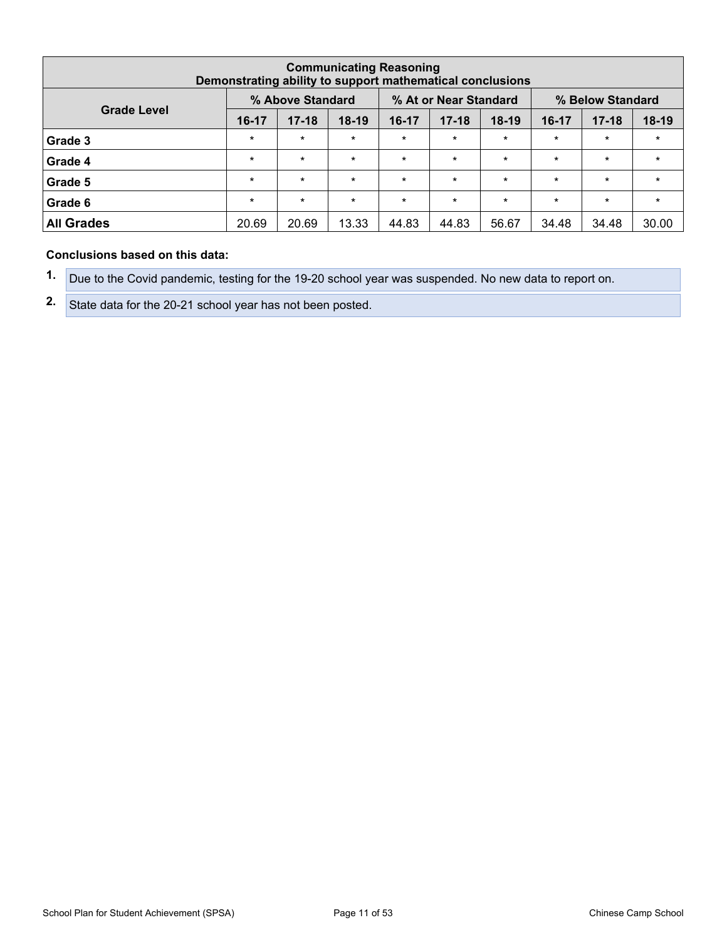|                                                                                     | <b>Communicating Reasoning</b><br>Demonstrating ability to support mathematical conclusions |           |         |           |           |         |         |           |         |  |  |  |  |  |
|-------------------------------------------------------------------------------------|---------------------------------------------------------------------------------------------|-----------|---------|-----------|-----------|---------|---------|-----------|---------|--|--|--|--|--|
| % At or Near Standard<br>% Above Standard<br>% Below Standard<br><b>Grade Level</b> |                                                                                             |           |         |           |           |         |         |           |         |  |  |  |  |  |
|                                                                                     | $16-17$                                                                                     | $17 - 18$ | $18-19$ | $16 - 17$ | $17 - 18$ | $18-19$ | 16-17   | $17 - 18$ | $18-19$ |  |  |  |  |  |
| Grade 3                                                                             | $\star$                                                                                     | $\star$   | $\star$ | $\star$   | $\star$   | $\star$ | $\star$ | $\star$   | $\star$ |  |  |  |  |  |
| Grade 4                                                                             | $\star$                                                                                     | $\star$   | $\star$ | $\star$   | $\star$   | $\star$ | $\star$ | $\star$   | $\star$ |  |  |  |  |  |
| Grade 5                                                                             | $\star$                                                                                     | $\star$   | $\star$ | $\star$   | $\star$   | $\star$ | $\star$ | $\star$   | $\star$ |  |  |  |  |  |
| Grade 6                                                                             | $\star$                                                                                     | $\star$   | $\star$ | $\star$   | $\star$   | $\star$ | $\star$ | $\star$   | $\star$ |  |  |  |  |  |
| <b>All Grades</b>                                                                   | 20.69                                                                                       | 20.69     | 13.33   | 44.83     | 44.83     | 56.67   | 34.48   | 34.48     | 30.00   |  |  |  |  |  |

#### **Conclusions based on this data:**

**1.** Due to the Covid pandemic, testing for the 19-20 school year was suspended. No new data to report on.

**2.** State data for the 20-21 school year has not been posted.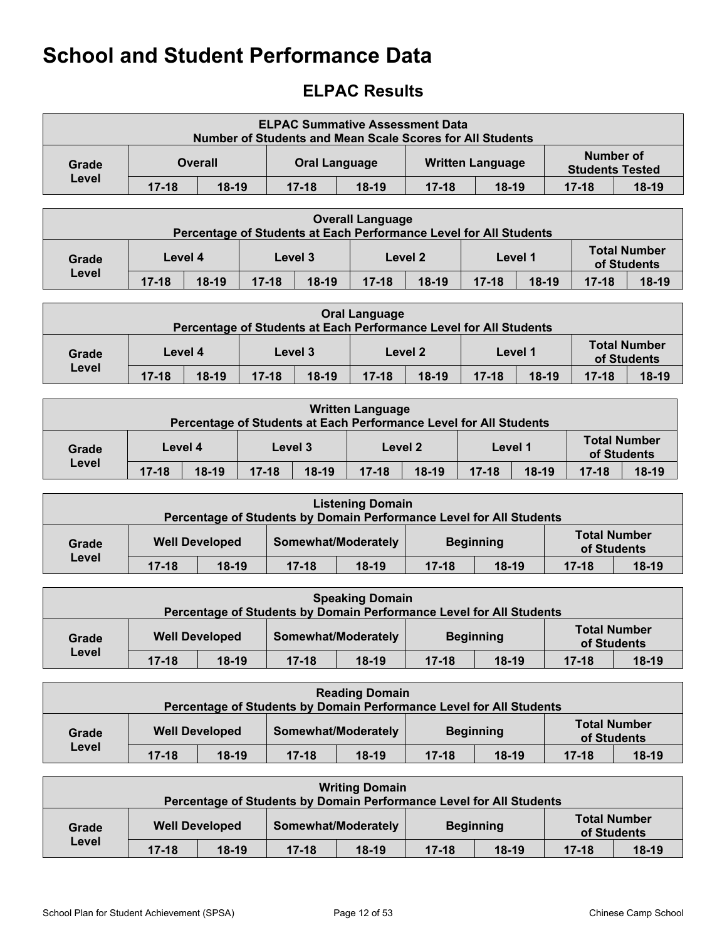## <span id="page-11-0"></span>**ELPAC Results**

|       |                                                                                            |  | <b>ELPAC Summative Assessment Data</b><br><b>Number of Students and Mean Scale Scores for All Students</b> |  |  |                         |                        |           |  |  |  |
|-------|--------------------------------------------------------------------------------------------|--|------------------------------------------------------------------------------------------------------------|--|--|-------------------------|------------------------|-----------|--|--|--|
| Grade | <b>Overall</b>                                                                             |  | <b>Oral Language</b>                                                                                       |  |  | <b>Written Language</b> | <b>Students Tested</b> | Number of |  |  |  |
| Level | $18-19$<br>$18-19$<br>$17 - 18$<br>$17 - 18$<br>$18-19$<br>$17 - 18$<br>$18-19$<br>$17-18$ |  |                                                                                                            |  |  |                         |                        |           |  |  |  |

|       |           |         |           | Percentage of Students at Each Performance Level for All Students | <b>Overall Language</b> |         |           |         |             |                     |
|-------|-----------|---------|-----------|-------------------------------------------------------------------|-------------------------|---------|-----------|---------|-------------|---------------------|
| Grade |           | Level 4 |           | Level 3                                                           |                         | Level 2 |           | Level 1 | of Students | <b>Total Number</b> |
| Level | $17 - 18$ | $18-19$ | $17 - 18$ | $18-19$                                                           | $17 - 18$               | $18-19$ | $17 - 18$ | $18-19$ | $17 - 18$   | $18-19$             |

|       | <b>Oral Language</b><br>Percentage of Students at Each Performance Level for All Students                            |         |  |         |  |         |         |  |  |                                    |  |  |  |
|-------|----------------------------------------------------------------------------------------------------------------------|---------|--|---------|--|---------|---------|--|--|------------------------------------|--|--|--|
| Grade |                                                                                                                      | Level 4 |  | Level 3 |  | Level 2 | Level 1 |  |  | <b>Total Number</b><br>of Students |  |  |  |
| Level | $17 - 18$<br>$18-19$<br>$17 - 18$<br>$17 - 18$<br>$18-19$<br>$18-19$<br>$17 - 18$<br>$18-19$<br>$18-19$<br>$17 - 18$ |         |  |         |  |         |         |  |  |                                    |  |  |  |

|       |           |         |           |         | <b>Written Language</b> | Percentage of Students at Each Performance Level for All Students |           |         |           |                                    |
|-------|-----------|---------|-----------|---------|-------------------------|-------------------------------------------------------------------|-----------|---------|-----------|------------------------------------|
| Grade |           | Level 4 |           | Level 3 |                         | Level 2                                                           | Level 1   |         |           | <b>Total Number</b><br>of Students |
| Level | $17 - 18$ | $18-19$ | $17 - 18$ | $18-19$ | $17 - 18$               | $18-19$                                                           | $17 - 18$ | $18-19$ | $17 - 18$ | $18-19$                            |

|       |           |                       | Percentage of Students by Domain Performance Level for All Students | <b>Listening Domain</b> |           |                  |                     |             |
|-------|-----------|-----------------------|---------------------------------------------------------------------|-------------------------|-----------|------------------|---------------------|-------------|
| Grade |           | <b>Well Developed</b> |                                                                     | Somewhat/Moderately     |           | <b>Beginning</b> | <b>Total Number</b> | of Students |
| Level | $17 - 18$ | $18-19$               | $17 - 18$                                                           | $18-19$                 | $17 - 18$ | $18-19$          | $17 - 18$           | $18-19$     |

|       |                                                                                                       |                       | Percentage of Students by Domain Performance Level for All Students | <b>Speaking Domain</b> |  |                  |                     |             |  |  |  |
|-------|-------------------------------------------------------------------------------------------------------|-----------------------|---------------------------------------------------------------------|------------------------|--|------------------|---------------------|-------------|--|--|--|
| Grade |                                                                                                       | <b>Well Developed</b> |                                                                     | Somewhat/Moderately    |  | <b>Beginning</b> | <b>Total Number</b> | of Students |  |  |  |
|       | Level<br>$18-19$<br>$17 - 18$<br>$18-19$<br>$18-19$<br>$18-19$<br>$17 - 18$<br>$17 - 18$<br>$17 - 18$ |                       |                                                                     |                        |  |                  |                     |             |  |  |  |

|       |           |                       | Percentage of Students by Domain Performance Level for All Students | <b>Reading Domain</b> |                  |         |           |                                    |
|-------|-----------|-----------------------|---------------------------------------------------------------------|-----------------------|------------------|---------|-----------|------------------------------------|
| Grade |           | <b>Well Developed</b> |                                                                     | Somewhat/Moderately   | <b>Beginning</b> |         |           | <b>Total Number</b><br>of Students |
| Level | $17 - 18$ | $18-19$               | $17 - 18$                                                           | $18-19$               | $17 - 18$        | $18-19$ | $17 - 18$ | $18-19$                            |

| <b>Writing Domain</b><br>Percentage of Students by Domain Performance Level for All Students |           |                       |                     |         |           |                  |           |                                    |
|----------------------------------------------------------------------------------------------|-----------|-----------------------|---------------------|---------|-----------|------------------|-----------|------------------------------------|
| Grade                                                                                        |           | <b>Well Developed</b> | Somewhat/Moderately |         |           | <b>Beginning</b> |           | <b>Total Number</b><br>of Students |
| Level                                                                                        | $17 - 18$ | $18-19$               | $17 - 18$           | $18-19$ | $17 - 18$ | $18-19$          | $17 - 18$ | $18-19$                            |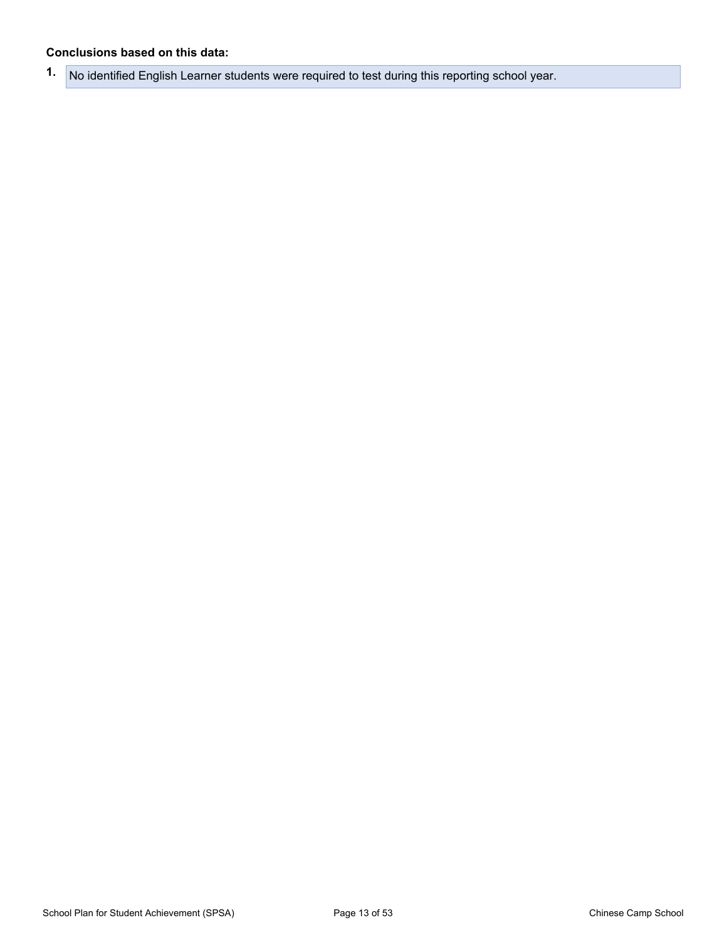#### **Conclusions based on this data:**

**1.** No identified English Learner students were required to test during this reporting school year.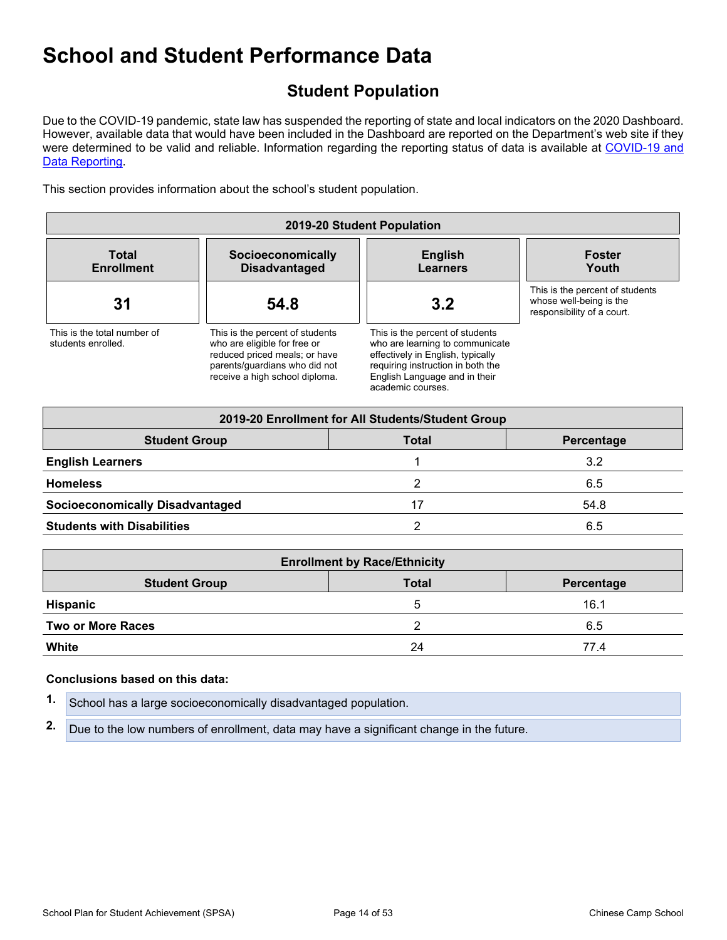## <span id="page-13-0"></span>**Student Population**

Due to the COVID-19 pandemic, state law has suspended the reporting of state and local indicators on the 2020 Dashboard. However, available data that would have been included in the Dashboard are reported on the Department's web site if they were determined to be valid and reliable. Information regarding the reporting status of data is available at [COVID-19](https://www.cde.ca.gov/ls/he/hn/coviddatareporting.asp) and Data [Reporting](https://www.cde.ca.gov/ls/he/hn/coviddatareporting.asp).

This section provides information about the school's student population.

| 2019-20 Student Population                        |                                                                                                                                                                     |                                                                                                                                                                                                    |                                                                                          |  |  |  |
|---------------------------------------------------|---------------------------------------------------------------------------------------------------------------------------------------------------------------------|----------------------------------------------------------------------------------------------------------------------------------------------------------------------------------------------------|------------------------------------------------------------------------------------------|--|--|--|
| <b>Total</b><br><b>Enrollment</b>                 | Socioeconomically<br><b>Disadvantaged</b>                                                                                                                           | <b>English</b><br>Learners                                                                                                                                                                         | <b>Foster</b><br>Youth                                                                   |  |  |  |
| 31                                                | 54.8                                                                                                                                                                | 3.2                                                                                                                                                                                                | This is the percent of students<br>whose well-being is the<br>responsibility of a court. |  |  |  |
| This is the total number of<br>students enrolled. | This is the percent of students<br>who are eligible for free or<br>reduced priced meals; or have<br>parents/guardians who did not<br>receive a high school diploma. | This is the percent of students<br>who are learning to communicate<br>effectively in English, typically<br>requiring instruction in both the<br>English Language and in their<br>academic courses. |                                                                                          |  |  |  |

| 2019-20 Enrollment for All Students/Student Group |              |            |  |  |  |  |
|---------------------------------------------------|--------------|------------|--|--|--|--|
| <b>Student Group</b>                              | <b>Total</b> | Percentage |  |  |  |  |
| <b>English Learners</b>                           |              | 3.2        |  |  |  |  |
| <b>Homeless</b>                                   |              | 6.5        |  |  |  |  |
| <b>Socioeconomically Disadvantaged</b>            | 17           | 54.8       |  |  |  |  |
| <b>Students with Disabilities</b>                 |              | 6.5        |  |  |  |  |

| <b>Enrollment by Race/Ethnicity</b>                |    |      |  |  |  |  |  |
|----------------------------------------------------|----|------|--|--|--|--|--|
| <b>Total</b><br><b>Student Group</b><br>Percentage |    |      |  |  |  |  |  |
| <b>Hispanic</b>                                    | 5  | 16.1 |  |  |  |  |  |
| <b>Two or More Races</b>                           |    | 6.5  |  |  |  |  |  |
| White                                              | 24 | 77.4 |  |  |  |  |  |

#### **Conclusions based on this data:**

|  | 1. School has a large socioeconomically disadvantaged population. |
|--|-------------------------------------------------------------------|
|--|-------------------------------------------------------------------|

**2.** Due to the low numbers of enrollment, data may have a significant change in the future.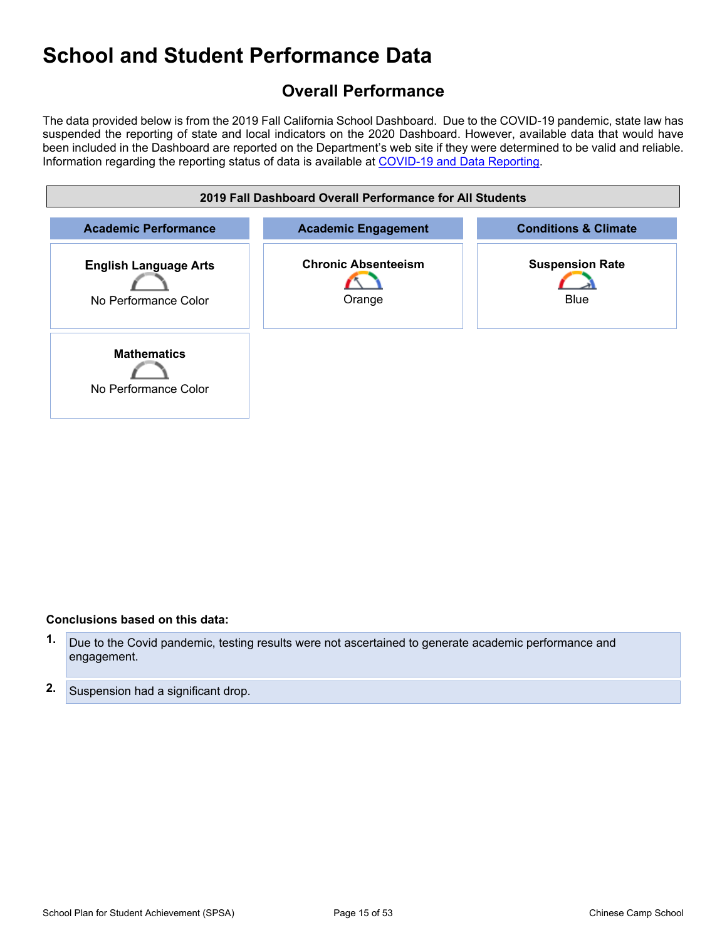## <span id="page-14-0"></span>**Overall Performance**

The data provided below is from the 2019 Fall California School Dashboard. Due to the COVID-19 pandemic, state law has suspended the reporting of state and local indicators on the 2020 Dashboard. However, available data that would have been included in the Dashboard are reported on the Department's web site if they were determined to be valid and reliable. Information regarding the reporting status of data is available at [COVID-19](https://www.cde.ca.gov/ls/he/hn/coviddatareporting.asp) and Data Reporting.



#### **Conclusions based on this data:**

- **1.** Due to the Covid pandemic, testing results were not ascertained to generate academic performance and engagement.
- **2.** Suspension had a significant drop.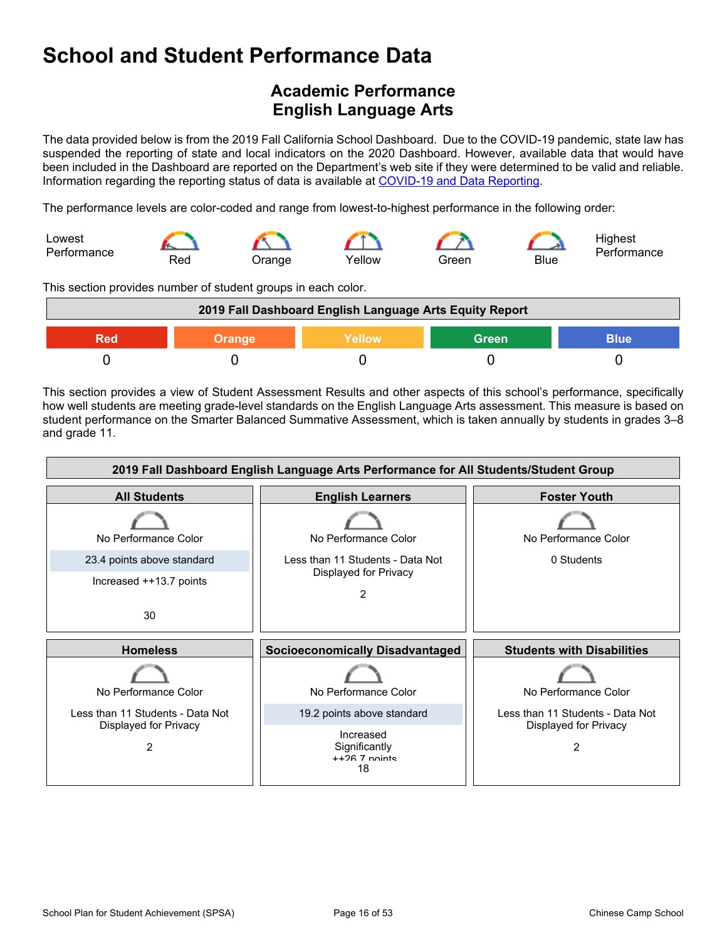## <span id="page-15-0"></span>**Academic Performance English Language Arts**

The data provided below is from the 2019 Fall California School Dashboard. Due to the COVID-19 pandemic, state law has suspended the reporting of state and local indicators on the 2020 Dashboard. However, available data that would have been included in the Dashboard are reported on the Department's web site if they were determined to be valid and reliable. Information regarding the reporting status of data is available at [COVID-19](https://www.cde.ca.gov/ls/he/hn/coviddatareporting.asp) and Data Reporting.

The performance levels are color-coded and range from lowest-to-highest performance in the following order:



This section provides number of student groups in each color.

| 2019 Fall Dashboard English Language Arts Equity Report |                                                        |  |  |  |  |  |  |
|---------------------------------------------------------|--------------------------------------------------------|--|--|--|--|--|--|
| Red                                                     | <b>Blue</b><br>Yellow<br><b>Green</b><br><b>Orange</b> |  |  |  |  |  |  |
|                                                         |                                                        |  |  |  |  |  |  |

This section provides a view of Student Assessment Results and other aspects of this school's performance, specifically how well students are meeting grade-level standards on the English Language Arts assessment. This measure is based on student performance on the Smarter Balanced Summative Assessment, which is taken annually by students in grades 3–8 and grade 11.

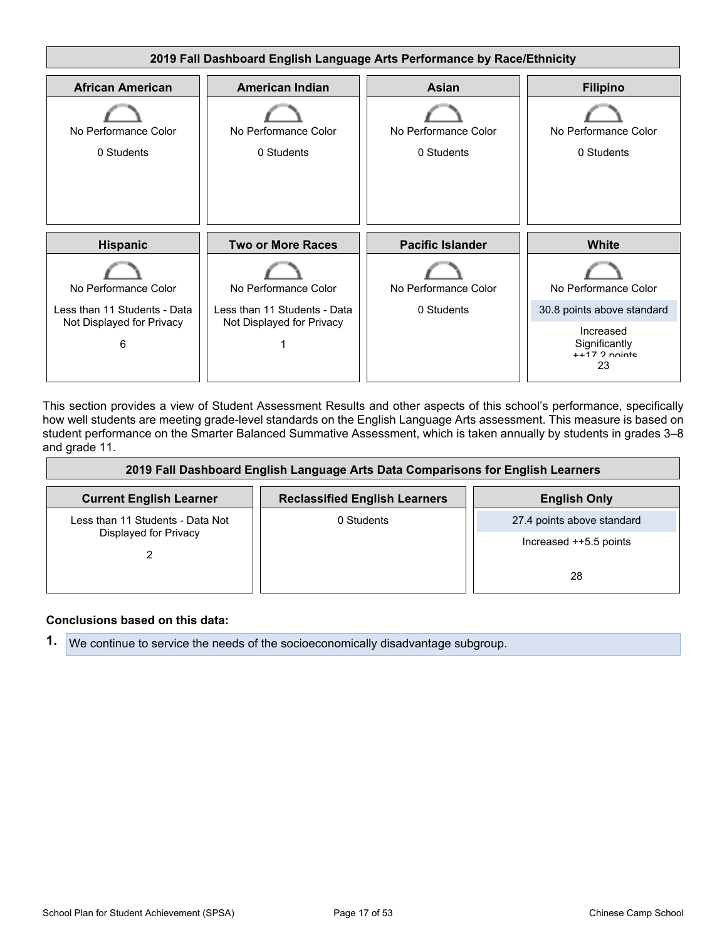

This section provides a view of Student Assessment Results and other aspects of this school's performance, specifically how well students are meeting grade-level standards on the English Language Arts assessment. This measure is based on student performance on the Smarter Balanced Summative Assessment, which is taken annually by students in grades 3–8 and grade 11.

| 2019 Fall Dashboard English Language Arts Data Comparisons for English Learners |                                      |                            |  |  |  |  |  |
|---------------------------------------------------------------------------------|--------------------------------------|----------------------------|--|--|--|--|--|
| <b>Current English Learner</b>                                                  | <b>Reclassified English Learners</b> | <b>English Only</b>        |  |  |  |  |  |
| Less than 11 Students - Data Not                                                | 0 Students                           | 27.4 points above standard |  |  |  |  |  |
| Displayed for Privacy                                                           |                                      | Increased ++5.5 points     |  |  |  |  |  |
|                                                                                 |                                      | 28                         |  |  |  |  |  |

#### **Conclusions based on this data:**

**1.** We continue to service the needs of the socioeconomically disadvantage subgroup.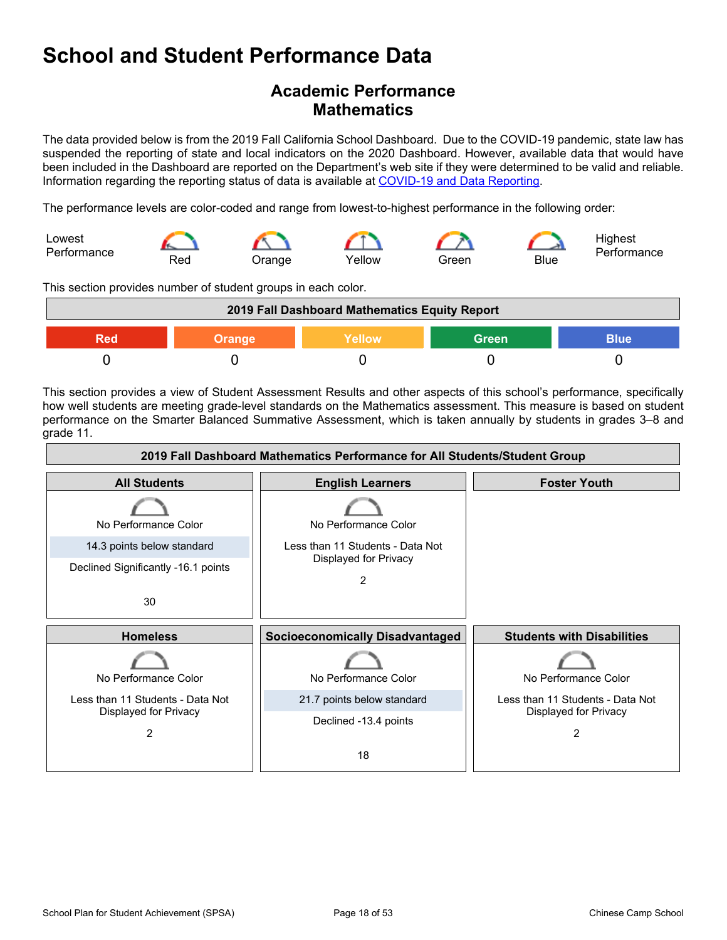## **Academic Performance Mathematics**

The data provided below is from the 2019 Fall California School Dashboard. Due to the COVID-19 pandemic, state law has suspended the reporting of state and local indicators on the 2020 Dashboard. However, available data that would have been included in the Dashboard are reported on the Department's web site if they were determined to be valid and reliable. Information regarding the reporting status of data is available at [COVID-19](https://www.cde.ca.gov/ls/he/hn/coviddatareporting.asp) and Data Reporting.

The performance levels are color-coded and range from lowest-to-highest performance in the following order:



This section provides number of student groups in each color.

| 2019 Fall Dashboard Mathematics Equity Report   |  |  |  |  |  |  |  |
|-------------------------------------------------|--|--|--|--|--|--|--|
| <b>Green</b><br>Yellow<br>Blue<br>Orange<br>RAN |  |  |  |  |  |  |  |
|                                                 |  |  |  |  |  |  |  |

This section provides a view of Student Assessment Results and other aspects of this school's performance, specifically how well students are meeting grade-level standards on the Mathematics assessment. This measure is based on student performance on the Smarter Balanced Summative Assessment, which is taken annually by students in grades 3–8 and grade 11.

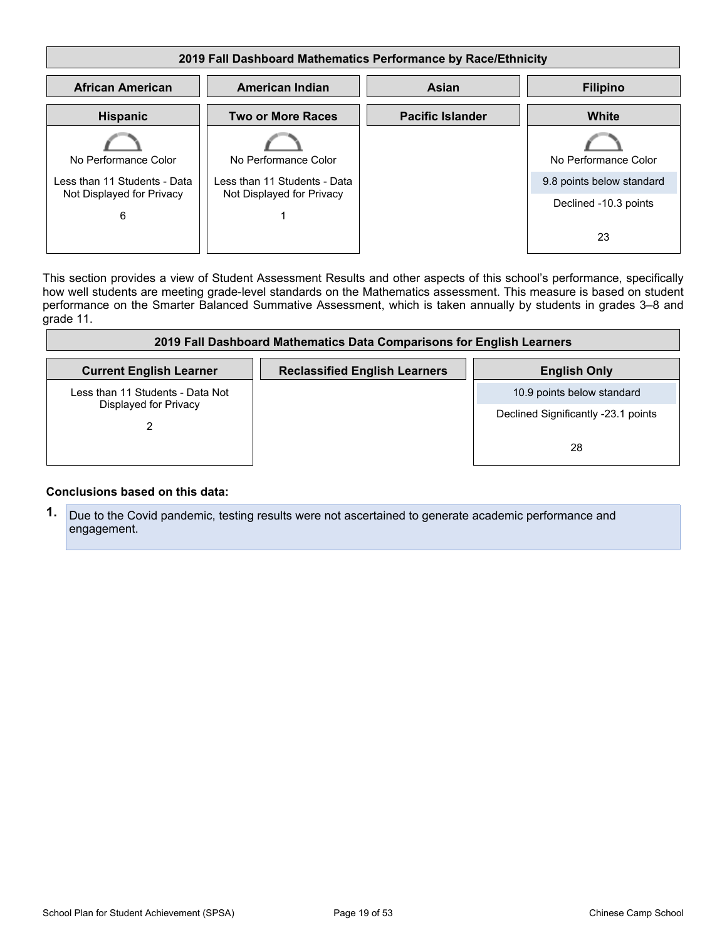| 2019 Fall Dashboard Mathematics Performance by Race/Ethnicity |                           |                         |                           |  |  |  |  |  |
|---------------------------------------------------------------|---------------------------|-------------------------|---------------------------|--|--|--|--|--|
| <b>African American</b>                                       | <b>Filipino</b>           |                         |                           |  |  |  |  |  |
| <b>Hispanic</b>                                               | <b>Two or More Races</b>  | <b>Pacific Islander</b> | White                     |  |  |  |  |  |
| No Performance Color                                          | No Performance Color      |                         | No Performance Color      |  |  |  |  |  |
| Less than 11 Students - Data<br>Less than 11 Students - Data  |                           |                         | 9.8 points below standard |  |  |  |  |  |
| Not Displayed for Privacy<br>6                                | Not Displayed for Privacy |                         | Declined -10.3 points     |  |  |  |  |  |
|                                                               |                           |                         | 23                        |  |  |  |  |  |

This section provides a view of Student Assessment Results and other aspects of this school's performance, specifically how well students are meeting grade-level standards on the Mathematics assessment. This measure is based on student performance on the Smarter Balanced Summative Assessment, which is taken annually by students in grades 3–8 and grade 11.

| 2019 Fall Dashboard Mathematics Data Comparisons for English Learners |                                      |                                     |  |  |  |  |  |
|-----------------------------------------------------------------------|--------------------------------------|-------------------------------------|--|--|--|--|--|
| <b>Current English Learner</b>                                        | <b>Reclassified English Learners</b> | <b>English Only</b>                 |  |  |  |  |  |
| Less than 11 Students - Data Not                                      |                                      | 10.9 points below standard          |  |  |  |  |  |
| Displayed for Privacy                                                 |                                      | Declined Significantly -23.1 points |  |  |  |  |  |
|                                                                       |                                      | 28                                  |  |  |  |  |  |

#### **Conclusions based on this data:**

**1.** Due to the Covid pandemic, testing results were not ascertained to generate academic performance and engagement.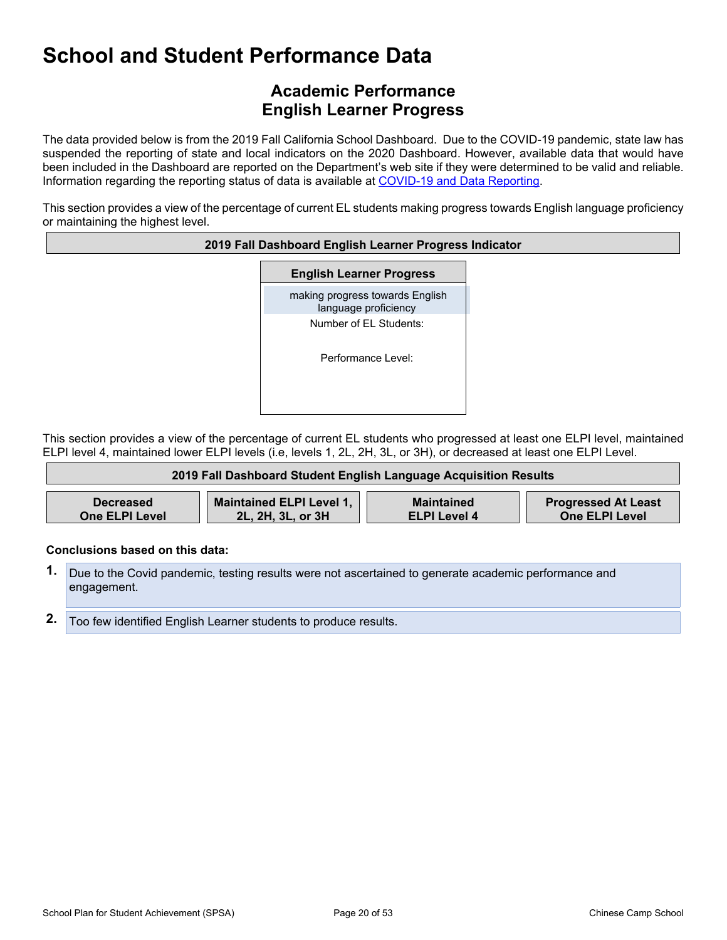## **Academic Performance English Learner Progress**

The data provided below is from the 2019 Fall California School Dashboard. Due to the COVID-19 pandemic, state law has suspended the reporting of state and local indicators on the 2020 Dashboard. However, available data that would have been included in the Dashboard are reported on the Department's web site if they were determined to be valid and reliable. Information regarding the reporting status of data is available at [COVID-19](https://www.cde.ca.gov/ls/he/hn/coviddatareporting.asp) and Data Reporting.

This section provides a view of the percentage of current EL students making progress towards English language proficiency or maintaining the highest level.

#### **2019 Fall Dashboard English Learner Progress Indicator**

**English Learner Progress**

making progress towards English language proficiency Number of EL Students:

Performance Level:

This section provides a view of the percentage of current EL students who progressed at least one ELPI level, maintained ELPI level 4, maintained lower ELPI levels (i.e, levels 1, 2L, 2H, 3L, or 3H), or decreased at least one ELPI Level.

| 2019 Fall Dashboard Student English Language Acquisition Results |                                                      |                                   |                                                     |  |  |  |  |  |
|------------------------------------------------------------------|------------------------------------------------------|-----------------------------------|-----------------------------------------------------|--|--|--|--|--|
|                                                                  |                                                      |                                   |                                                     |  |  |  |  |  |
| <b>Decreased</b><br><b>One ELPI Level</b>                        | <b>Maintained ELPI Level 1,</b><br>2L, 2H, 3L, or 3H | Maintained<br><b>ELPI Level 4</b> | <b>Progressed At Least</b><br><b>One ELPI Level</b> |  |  |  |  |  |

#### **Conclusions based on this data:**

Л

- **1.** Due to the Covid pandemic, testing results were not ascertained to generate academic performance and engagement.
- **2.** Too few identified English Learner students to produce results.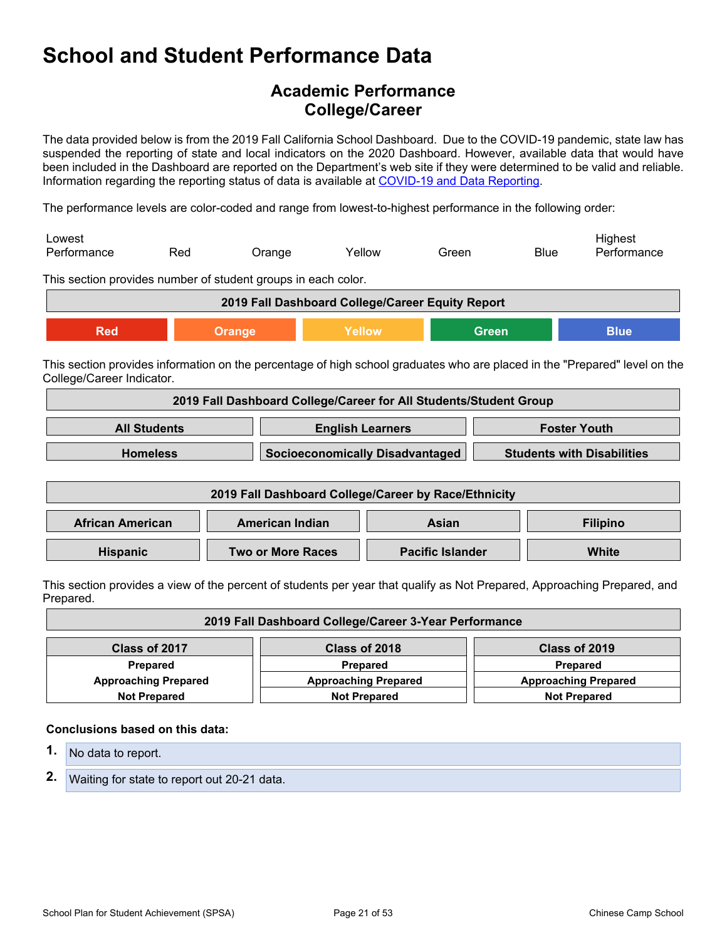## **Academic Performance College/Career**

The data provided below is from the 2019 Fall California School Dashboard. Due to the COVID-19 pandemic, state law has suspended the reporting of state and local indicators on the 2020 Dashboard. However, available data that would have been included in the Dashboard are reported on the Department's web site if they were determined to be valid and reliable. Information regarding the reporting status of data is available at [COVID-19](https://www.cde.ca.gov/ls/he/hn/coviddatareporting.asp) and Data Reporting.

The performance levels are color-coded and range from lowest-to-highest performance in the following order:

| Lowest      |     |               |        |       |             | Hiahest     |
|-------------|-----|---------------|--------|-------|-------------|-------------|
| Performance | Red | <b>Jrange</b> | Yellow | Green | <b>Blue</b> | Performance |

This section provides number of student groups in each color.

| 2019 Fall Dashboard College/Career Equity Report |                         |  |  |  |  |
|--------------------------------------------------|-------------------------|--|--|--|--|
| Red                                              | Green<br>Blue<br>Yellow |  |  |  |  |

This section provides information on the percentage of high school graduates who are placed in the "Prepared" level on the College/Career Indicator.

| 2019 Fall Dashboard College/Career for All Students/Student Group                       |  |  |  |  |  |
|-----------------------------------------------------------------------------------------|--|--|--|--|--|
| <b>All Students</b><br><b>English Learners</b><br><b>Foster Youth</b>                   |  |  |  |  |  |
| Socioeconomically Disadvantaged<br><b>Students with Disabilities</b><br><b>Homeless</b> |  |  |  |  |  |

| 2019 Fall Dashboard College/Career by Race/Ethnicity                            |  |  |  |  |  |
|---------------------------------------------------------------------------------|--|--|--|--|--|
| <b>African American</b><br>American Indian<br><b>Filipino</b><br>Asian          |  |  |  |  |  |
| <b>Two or More Races</b><br><b>Pacific Islander</b><br>White<br><b>Hispanic</b> |  |  |  |  |  |

This section provides a view of the percent of students per year that qualify as Not Prepared, Approaching Prepared, and Prepared.

| 2019 Fall Dashboard College/Career 3-Year Performance                                     |                                            |               |  |  |  |
|-------------------------------------------------------------------------------------------|--------------------------------------------|---------------|--|--|--|
| Class of 2017                                                                             | Class of 2018                              | Class of 2019 |  |  |  |
| Prepared                                                                                  | <b>Prepared</b><br><b>Prepared</b>         |               |  |  |  |
| <b>Approaching Prepared</b><br><b>Approaching Prepared</b><br><b>Approaching Prepared</b> |                                            |               |  |  |  |
| <b>Not Prepared</b>                                                                       | <b>Not Prepared</b><br><b>Not Prepared</b> |               |  |  |  |

#### **Conclusions based on this data:**

- **1.** No data to report.
- **2.** Waiting for state to report out 20-21 data.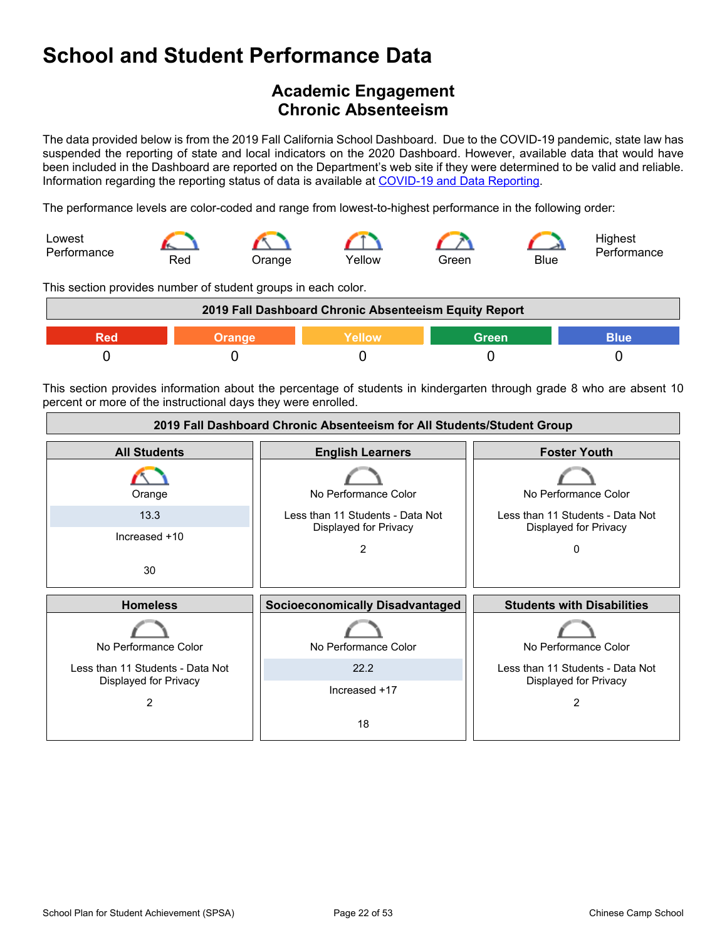## <span id="page-21-0"></span>**Academic Engagement Chronic Absenteeism**

The data provided below is from the 2019 Fall California School Dashboard. Due to the COVID-19 pandemic, state law has suspended the reporting of state and local indicators on the 2020 Dashboard. However, available data that would have been included in the Dashboard are reported on the Department's web site if they were determined to be valid and reliable. Information regarding the reporting status of data is available at [COVID-19](https://www.cde.ca.gov/ls/he/hn/coviddatareporting.asp) and Data Reporting.

The performance levels are color-coded and range from lowest-to-highest performance in the following order:



This section provides number of student groups in each color.

| 2019 Fall Dashboard Chronic Absenteeism Equity Report |  |  |  |  |  |
|-------------------------------------------------------|--|--|--|--|--|
| <b>Green</b><br>Yellow<br>Blue<br>Orange              |  |  |  |  |  |
|                                                       |  |  |  |  |  |

This section provides information about the percentage of students in kindergarten through grade 8 who are absent 10 percent or more of the instructional days they were enrolled.

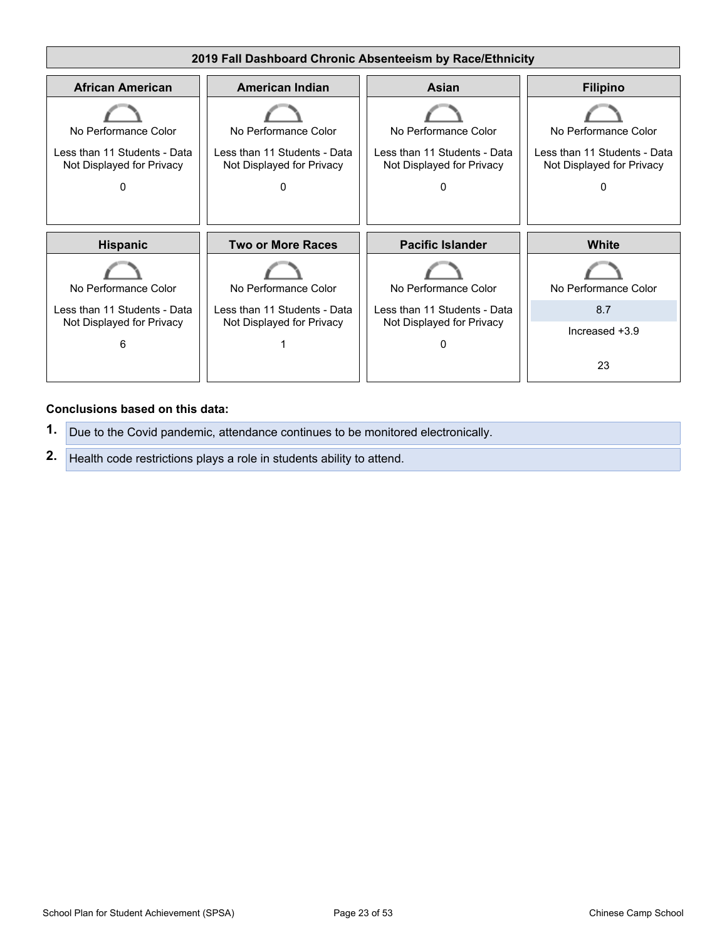

#### **Conclusions based on this data:**

**1.** Due to the Covid pandemic, attendance continues to be monitored electronically. **2.** Health code restrictions plays a role in students ability to attend.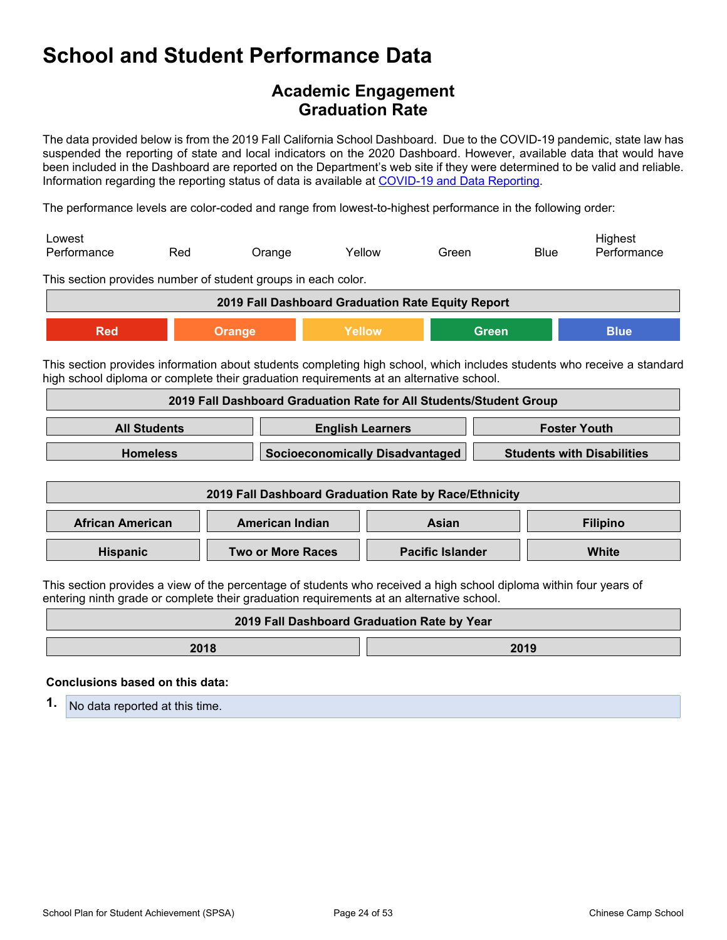## **Academic Engagement Graduation Rate**

The data provided below is from the 2019 Fall California School Dashboard. Due to the COVID-19 pandemic, state law has suspended the reporting of state and local indicators on the 2020 Dashboard. However, available data that would have been included in the Dashboard are reported on the Department's web site if they were determined to be valid and reliable. Information regarding the reporting status of data is available at [COVID-19](https://www.cde.ca.gov/ls/he/hn/coviddatareporting.asp) and Data Reporting.

The performance levels are color-coded and range from lowest-to-highest performance in the following order:

| Lowest      |     |               |        |       |             | Hiahest     |
|-------------|-----|---------------|--------|-------|-------------|-------------|
| Performance | Red | <b>Jrange</b> | Yellow | Green | <b>Blue</b> | Performance |

This section provides number of student groups in each color.

| 2019 Fall Dashboard Graduation Rate Equity Report |  |  |  |  |  |
|---------------------------------------------------|--|--|--|--|--|
| Yellow<br>Red<br>Blue<br>Green<br>Orange          |  |  |  |  |  |

This section provides information about students completing high school, which includes students who receive a standard high school diploma or complete their graduation requirements at an alternative school.

| 2019 Fall Dashboard Graduation Rate for All Students/Student Group                      |  |  |  |  |
|-----------------------------------------------------------------------------------------|--|--|--|--|
| <b>All Students</b><br><b>English Learners</b><br><b>Foster Youth</b>                   |  |  |  |  |
| Socioeconomically Disadvantaged<br><b>Students with Disabilities</b><br><b>Homeless</b> |  |  |  |  |

| 2019 Fall Dashboard Graduation Rate by Race/Ethnicity                  |                          |                         |       |  |  |
|------------------------------------------------------------------------|--------------------------|-------------------------|-------|--|--|
| <b>African American</b><br>American Indian<br><b>Filipino</b><br>Asian |                          |                         |       |  |  |
| <b>Hispanic</b>                                                        | <b>Two or More Races</b> | <b>Pacific Islander</b> | White |  |  |

This section provides a view of the percentage of students who received a high school diploma within four years of entering ninth grade or complete their graduation requirements at an alternative school.

| 2019 Fall Dashboard Graduation Rate by Year |  |  |  |  |  |
|---------------------------------------------|--|--|--|--|--|
| 2018<br>2019                                |  |  |  |  |  |
|                                             |  |  |  |  |  |

#### **Conclusions based on this data:**

**1.** No data reported at this time.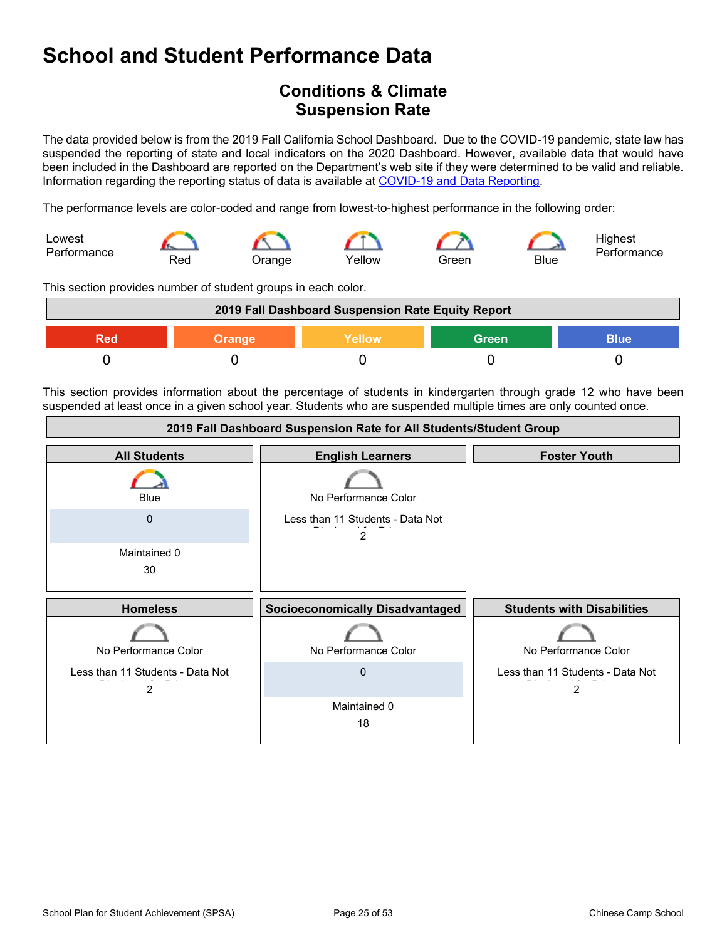## <span id="page-24-0"></span>**Conditions & Climate Suspension Rate**

The data provided below is from the 2019 Fall California School Dashboard. Due to the COVID-19 pandemic, state law has suspended the reporting of state and local indicators on the 2020 Dashboard. However, available data that would have been included in the Dashboard are reported on the Department's web site if they were determined to be valid and reliable. Information regarding the reporting status of data is available at [COVID-19](https://www.cde.ca.gov/ls/he/hn/coviddatareporting.asp) and Data Reporting.

The performance levels are color-coded and range from lowest-to-highest performance in the following order:



This section provides number of student groups in each color.

| 2019 Fall Dashboard Suspension Rate Equity Report |        |        |              |             |
|---------------------------------------------------|--------|--------|--------------|-------------|
| Red                                               | Orange | Yellow | <b>Green</b> | <b>Blue</b> |
|                                                   |        |        |              |             |

This section provides information about the percentage of students in kindergarten through grade 12 who have been suspended at least once in a given school year. Students who are suspended multiple times are only counted once.

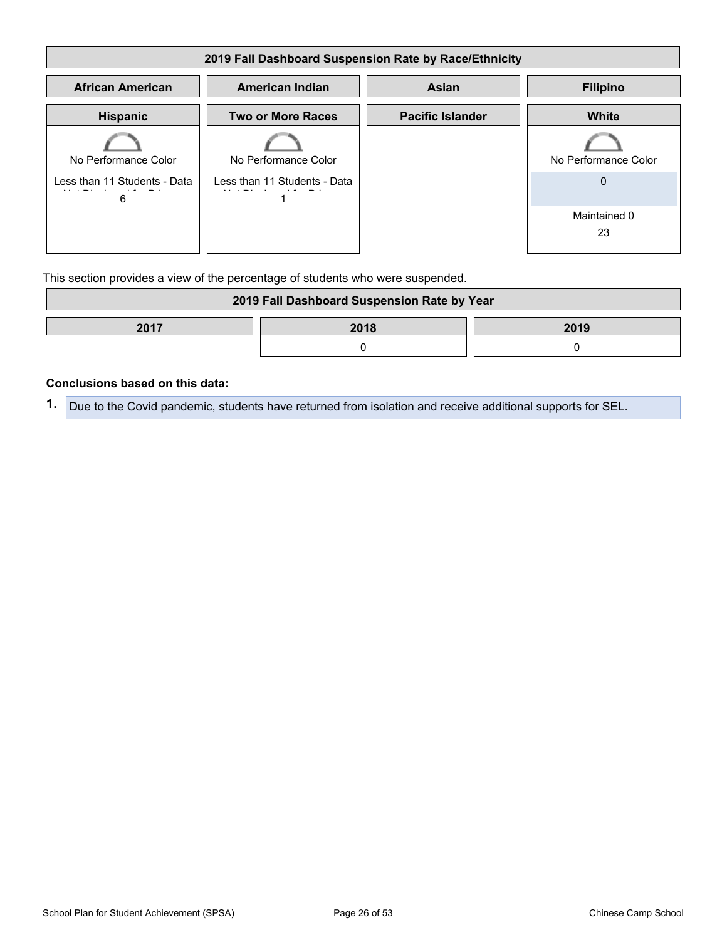| 2019 Fall Dashboard Suspension Rate by Race/Ethnicity |                              |                         |                      |  |  |  |
|-------------------------------------------------------|------------------------------|-------------------------|----------------------|--|--|--|
| <b>African American</b>                               | <b>American Indian</b>       | <b>Asian</b>            | <b>Filipino</b>      |  |  |  |
| <b>Hispanic</b>                                       | <b>Two or More Races</b>     | <b>Pacific Islander</b> | <b>White</b>         |  |  |  |
| No Performance Color                                  | No Performance Color         |                         | No Performance Color |  |  |  |
| Less than 11 Students - Data<br>6                     | Less than 11 Students - Data |                         | 0                    |  |  |  |
|                                                       |                              |                         | Maintained 0<br>23   |  |  |  |

This section provides a view of the percentage of students who were suspended.

| 2019 Fall Dashboard Suspension Rate by Year |  |  |  |
|---------------------------------------------|--|--|--|
| 2017<br>2018<br>2019                        |  |  |  |
|                                             |  |  |  |

#### **Conclusions based on this data:**

**1.** Due to the Covid pandemic, students have returned from isolation and receive additional supports for SEL.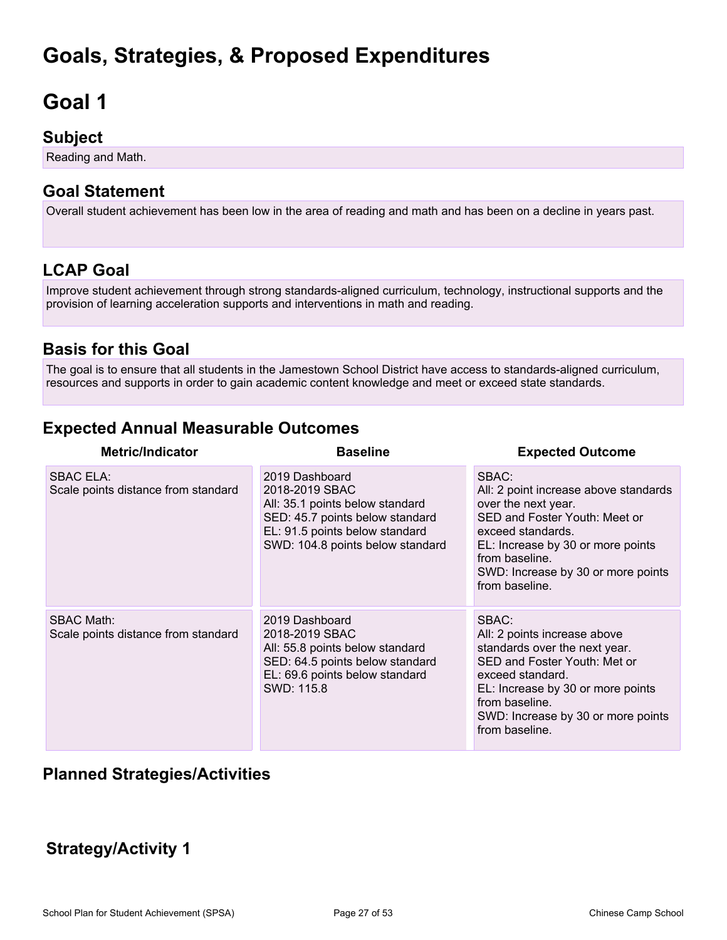# <span id="page-26-0"></span>**Goals, Strategies, & Proposed Expenditures**

# <span id="page-26-1"></span>**Goal 1**

## **Subject**

Reading and Math.

## **Goal Statement**

Overall student achievement has been low in the area of reading and math and has been on a decline in years past.

## **LCAP Goal**

Improve student achievement through strong standards-aligned curriculum, technology, instructional supports and the provision of learning acceleration supports and interventions in math and reading.

## **Basis for this Goal**

The goal is to ensure that all students in the Jamestown School District have access to standards-aligned curriculum, resources and supports in order to gain academic content knowledge and meet or exceed state standards.

## **Expected Annual Measurable Outcomes**

| <b>Metric/Indicator</b>                                  | <b>Baseline</b>                                                                                                                                                              | <b>Expected Outcome</b>                                                                                                                                                                                                                    |
|----------------------------------------------------------|------------------------------------------------------------------------------------------------------------------------------------------------------------------------------|--------------------------------------------------------------------------------------------------------------------------------------------------------------------------------------------------------------------------------------------|
| <b>SBAC ELA:</b><br>Scale points distance from standard  | 2019 Dashboard<br>2018-2019 SBAC<br>All: 35.1 points below standard<br>SED: 45.7 points below standard<br>EL: 91.5 points below standard<br>SWD: 104.8 points below standard | SBAC:<br>All: 2 point increase above standards<br>over the next year.<br>SED and Foster Youth: Meet or<br>exceed standards.<br>EL: Increase by 30 or more points<br>from baseline.<br>SWD: Increase by 30 or more points<br>from baseline. |
| <b>SBAC Math:</b><br>Scale points distance from standard | 2019 Dashboard<br>2018-2019 SBAC<br>All: 55.8 points below standard<br>SED: 64.5 points below standard<br>EL: 69.6 points below standard<br>SWD: 115.8                       | SBAC:<br>All: 2 points increase above<br>standards over the next year.<br>SED and Foster Youth: Met or<br>exceed standard.<br>EL: Increase by 30 or more points<br>from baseline.<br>SWD: Increase by 30 or more points<br>from baseline.  |

### **Planned Strategies/Activities**

## **Strategy/Activity 1**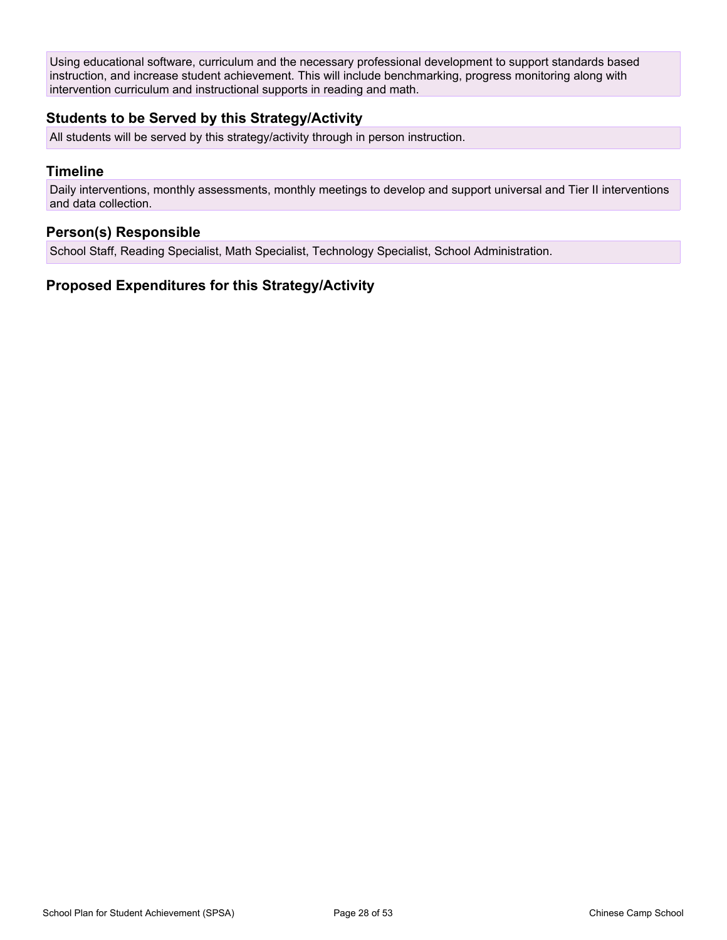Using educational software, curriculum and the necessary professional development to support standards based instruction, and increase student achievement. This will include benchmarking, progress monitoring along with intervention curriculum and instructional supports in reading and math.

#### **Students to be Served by this Strategy/Activity**

All students will be served by this strategy/activity through in person instruction.

#### **Timeline**

Daily interventions, monthly assessments, monthly meetings to develop and support universal and Tier II interventions and data collection.

#### **Person(s) Responsible**

School Staff, Reading Specialist, Math Specialist, Technology Specialist, School Administration.

#### **Proposed Expenditures for this Strategy/Activity**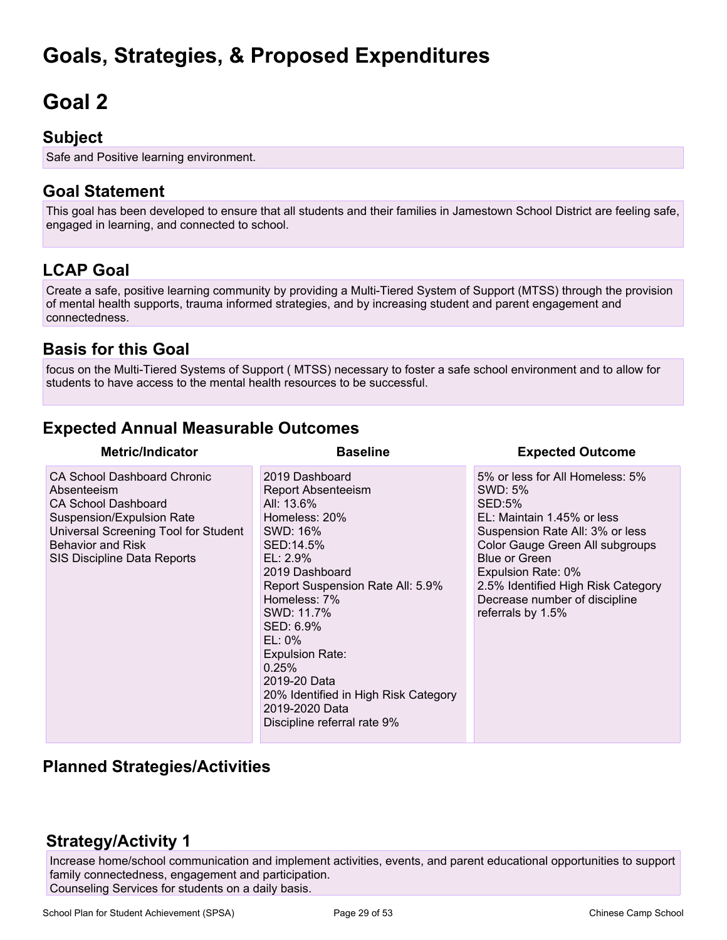# **Goals, Strategies, & Proposed Expenditures**

# <span id="page-28-0"></span>**Goal 2**

## **Subject**

Safe and Positive learning environment.

## **Goal Statement**

This goal has been developed to ensure that all students and their families in Jamestown School District are feeling safe, engaged in learning, and connected to school.

## **LCAP Goal**

Create a safe, positive learning community by providing a Multi-Tiered System of Support (MTSS) through the provision of mental health supports, trauma informed strategies, and by increasing student and parent engagement and connectedness.

## **Basis for this Goal**

focus on the Multi-Tiered Systems of Support ( MTSS) necessary to foster a safe school environment and to allow for students to have access to the mental health resources to be successful.

## **Expected Annual Measurable Outcomes**

| <b>Metric/Indicator</b>                                                                                                                                                                                         | <b>Baseline</b>                                                                                                                                                                                                                                                                                                                                                              | <b>Expected Outcome</b>                                                                                                                                                                                                                                                                                   |
|-----------------------------------------------------------------------------------------------------------------------------------------------------------------------------------------------------------------|------------------------------------------------------------------------------------------------------------------------------------------------------------------------------------------------------------------------------------------------------------------------------------------------------------------------------------------------------------------------------|-----------------------------------------------------------------------------------------------------------------------------------------------------------------------------------------------------------------------------------------------------------------------------------------------------------|
| <b>CA School Dashboard Chronic</b><br>Absenteeism<br><b>CA School Dashboard</b><br>Suspension/Expulsion Rate<br>Universal Screening Tool for Student<br><b>Behavior and Risk</b><br>SIS Discipline Data Reports | 2019 Dashboard<br><b>Report Absenteeism</b><br>All: 13.6%<br>Homeless: 20%<br>SWD: 16%<br>SED:14.5%<br>$EL: 2.9\%$<br>2019 Dashboard<br>Report Suspension Rate All: 5.9%<br>Homeless: 7%<br>SWD: 11.7%<br>SED: 6.9%<br>$EL: 0\%$<br><b>Expulsion Rate:</b><br>0.25%<br>2019-20 Data<br>20% Identified in High Risk Category<br>2019-2020 Data<br>Discipline referral rate 9% | 5% or less for All Homeless: 5%<br>SWD: 5%<br><b>SED:5%</b><br>EL: Maintain 1.45% or less<br>Suspension Rate All: 3% or less<br>Color Gauge Green All subgroups<br><b>Blue or Green</b><br>Expulsion Rate: 0%<br>2.5% Identified High Risk Category<br>Decrease number of discipline<br>referrals by 1.5% |

## **Planned Strategies/Activities**

## **Strategy/Activity 1**

Increase home/school communication and implement activities, events, and parent educational opportunities to support family connectedness, engagement and participation. Counseling Services for students on a daily basis.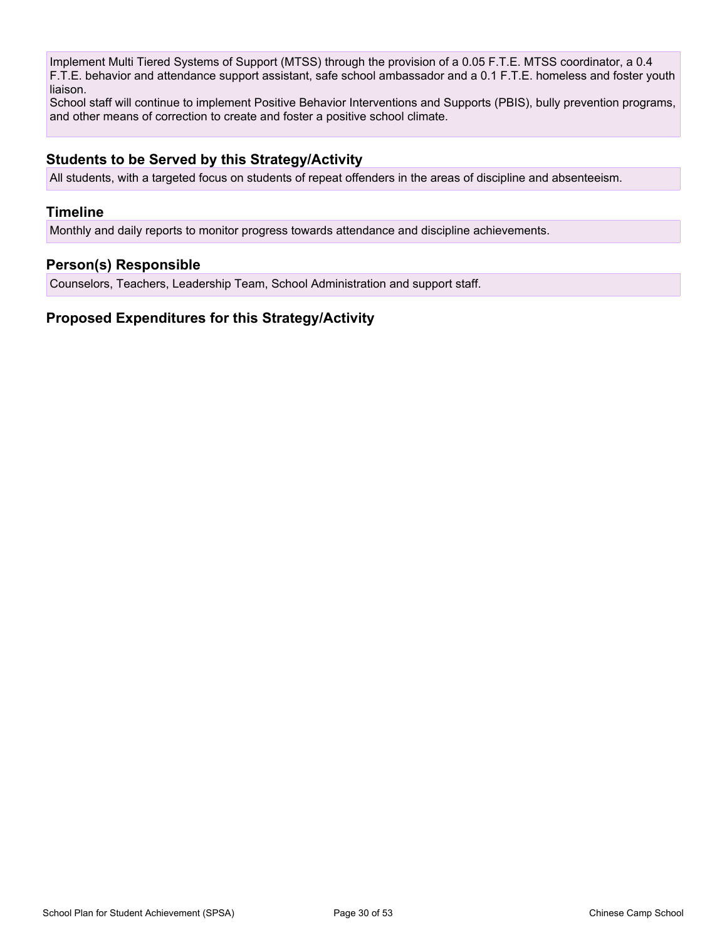Implement Multi Tiered Systems of Support (MTSS) through the provision of a 0.05 F.T.E. MTSS coordinator, a 0.4 F.T.E. behavior and attendance support assistant, safe school ambassador and a 0.1 F.T.E. homeless and foster youth liaison.

School staff will continue to implement Positive Behavior Interventions and Supports (PBIS), bully prevention programs, and other means of correction to create and foster a positive school climate.

#### **Students to be Served by this Strategy/Activity**

All students, with a targeted focus on students of repeat offenders in the areas of discipline and absenteeism.

#### **Timeline**

Monthly and daily reports to monitor progress towards attendance and discipline achievements.

#### **Person(s) Responsible**

Counselors, Teachers, Leadership Team, School Administration and support staff.

#### **Proposed Expenditures for this Strategy/Activity**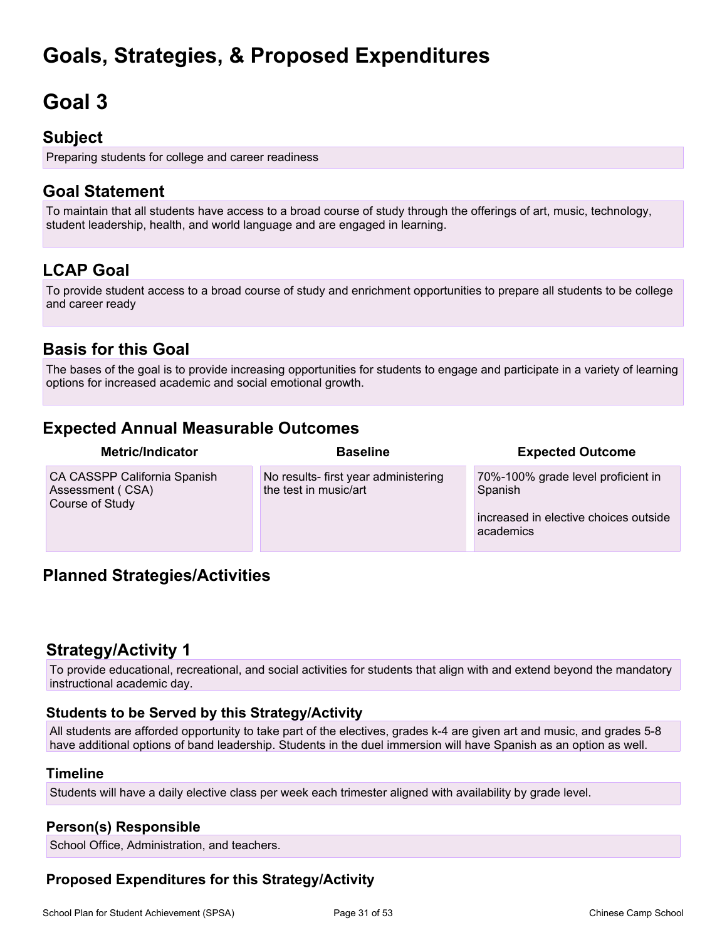# **Goals, Strategies, & Proposed Expenditures**

# <span id="page-30-0"></span>**Goal 3**

## **Subject**

Preparing students for college and career readiness

## **Goal Statement**

To maintain that all students have access to a broad course of study through the offerings of art, music, technology, student leadership, health, and world language and are engaged in learning.

## **LCAP Goal**

To provide student access to a broad course of study and enrichment opportunities to prepare all students to be college and career ready

## **Basis for this Goal**

The bases of the goal is to provide increasing opportunities for students to engage and participate in a variety of learning options for increased academic and social emotional growth.

## **Expected Annual Measurable Outcomes**

| <b>Metric/Indicator</b>                                             | <b>Baseline</b>                                               | <b>Expected Outcome</b>                                                                             |
|---------------------------------------------------------------------|---------------------------------------------------------------|-----------------------------------------------------------------------------------------------------|
| CA CASSPP California Spanish<br>Assessment (CSA)<br>Course of Study | No results- first year administering<br>the test in music/art | 70%-100% grade level proficient in<br>Spanish<br>increased in elective choices outside<br>academics |

## **Planned Strategies/Activities**

## **Strategy/Activity 1**

To provide educational, recreational, and social activities for students that align with and extend beyond the mandatory instructional academic day.

#### **Students to be Served by this Strategy/Activity**

All students are afforded opportunity to take part of the electives, grades k-4 are given art and music, and grades 5-8 have additional options of band leadership. Students in the duel immersion will have Spanish as an option as well.

#### **Timeline**

Students will have a daily elective class per week each trimester aligned with availability by grade level.

#### **Person(s) Responsible**

School Office, Administration, and teachers.

#### **Proposed Expenditures for this Strategy/Activity**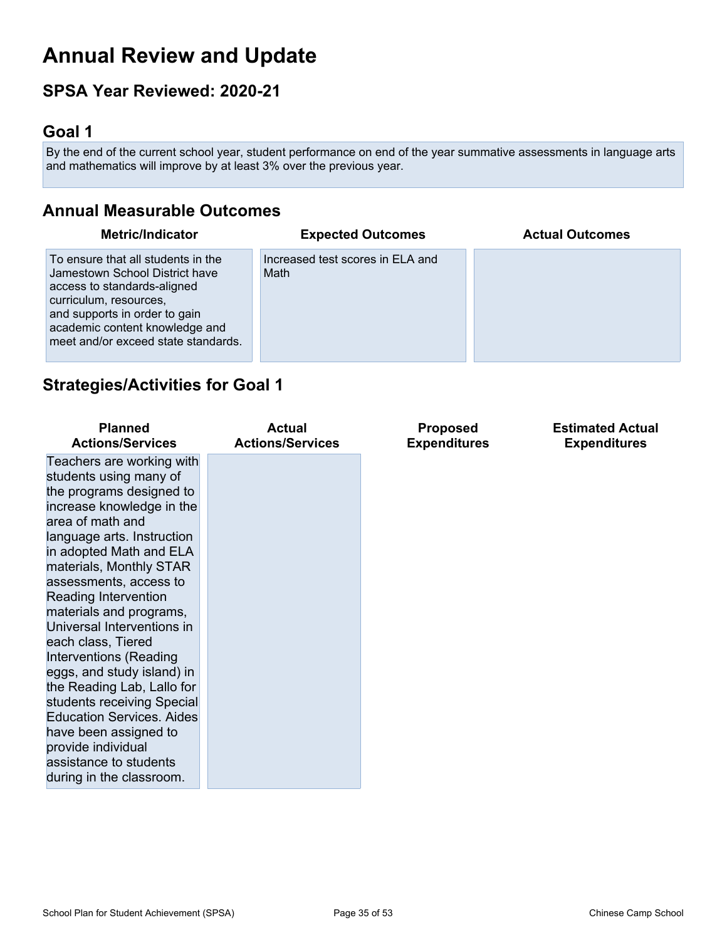# <span id="page-31-0"></span>**Annual Review and Update**

## **SPSA Year Reviewed: 2020-21**

## <span id="page-31-1"></span>**Goal 1**

By the end of the current school year, student performance on end of the year summative assessments in language arts and mathematics will improve by at least 3% over the previous year.

## **Annual Measurable Outcomes**

| <b>Metric/Indicator</b>                                                                                                                                                                                                                 | <b>Expected Outcomes</b>                 | <b>Actual Outcomes</b> |
|-----------------------------------------------------------------------------------------------------------------------------------------------------------------------------------------------------------------------------------------|------------------------------------------|------------------------|
| To ensure that all students in the<br>Jamestown School District have<br>access to standards-aligned<br>curriculum, resources,<br>and supports in order to gain<br>academic content knowledge and<br>meet and/or exceed state standards. | Increased test scores in ELA and<br>Math |                        |

## **Strategies/Activities for Goal 1**

| <b>Planned</b><br><b>Actions/Services</b>                                                                                                                                                                                                             | <b>Actual</b><br><b>Actions/Services</b> | <b>Proposed</b><br><b>Expenditures</b> | <b>Estimated Actual</b><br><b>Expenditures</b> |
|-------------------------------------------------------------------------------------------------------------------------------------------------------------------------------------------------------------------------------------------------------|------------------------------------------|----------------------------------------|------------------------------------------------|
| Teachers are working with<br>students using many of<br>the programs designed to<br>increase knowledge in the<br>area of math and<br>language arts. Instruction<br>in adopted Math and ELA                                                             |                                          |                                        |                                                |
| materials, Monthly STAR<br>assessments, access to<br>Reading Intervention<br>materials and programs,<br>Universal Interventions in<br>each class, Tiered<br><b>Interventions (Reading</b><br>eggs, and study island) in<br>the Reading Lab, Lallo for |                                          |                                        |                                                |
| students receiving Special<br><b>Education Services, Aides</b><br>have been assigned to<br>provide individual<br>assistance to students<br>during in the classroom.                                                                                   |                                          |                                        |                                                |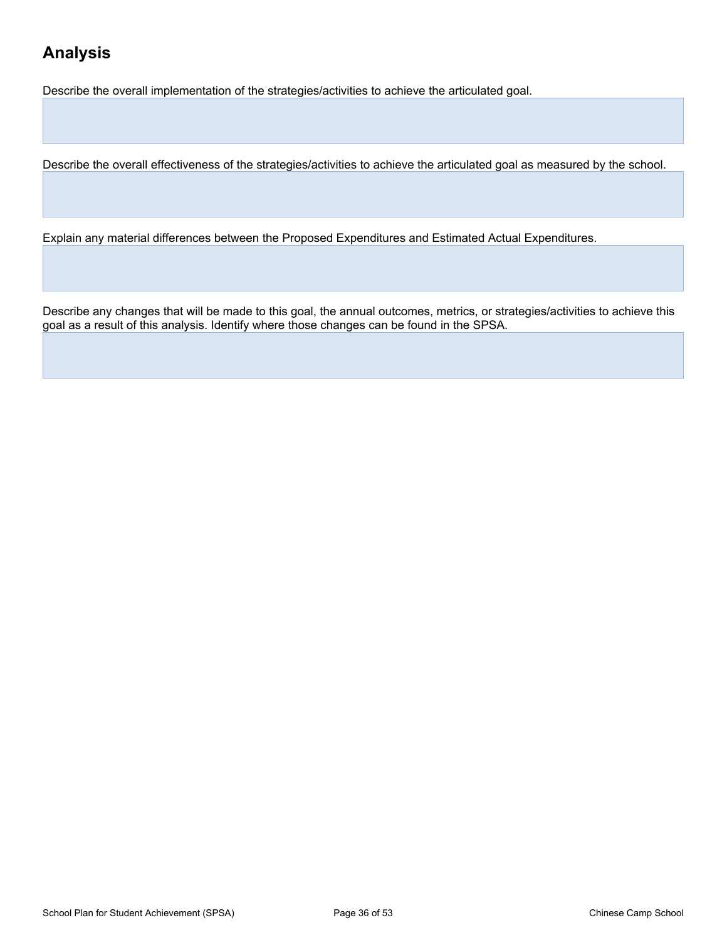## **Analysis**

Describe the overall implementation of the strategies/activities to achieve the articulated goal.

Describe the overall effectiveness of the strategies/activities to achieve the articulated goal as measured by the school.

Explain any material differences between the Proposed Expenditures and Estimated Actual Expenditures.

Describe any changes that will be made to this goal, the annual outcomes, metrics, or strategies/activities to achieve this goal as a result of this analysis. Identify where those changes can be found in the SPSA.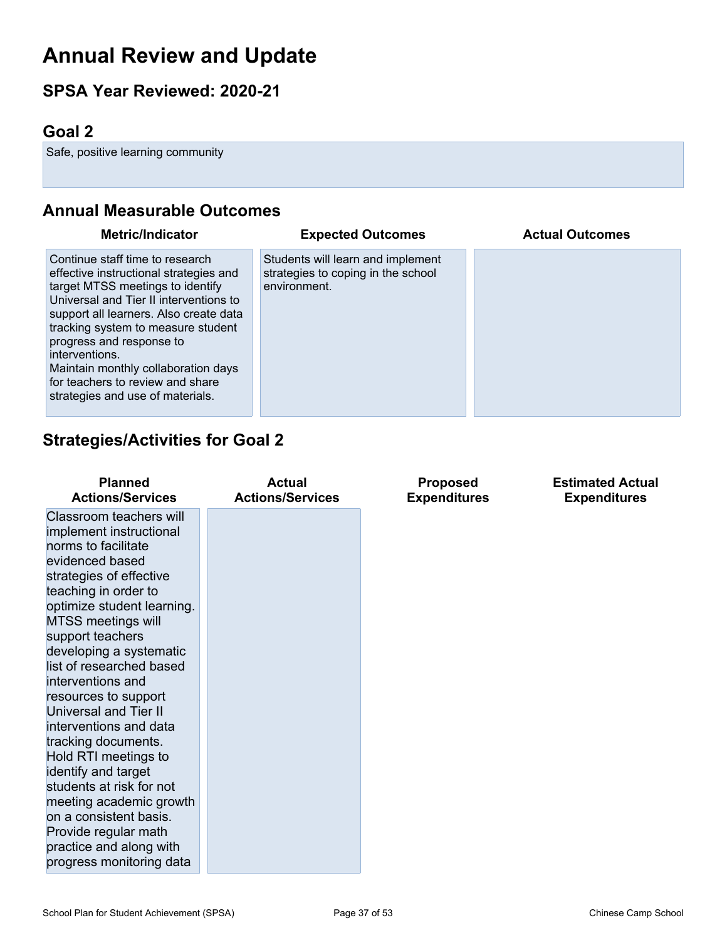# **Annual Review and Update**

## **SPSA Year Reviewed: 2020-21**

## <span id="page-33-0"></span>**Goal 2**

Safe, positive learning community

## **Annual Measurable Outcomes**

| <b>Metric/Indicator</b>                                                                                                                                                                                                                                                                                                                                                                              | <b>Expected Outcomes</b>                                                                | <b>Actual Outcomes</b> |
|------------------------------------------------------------------------------------------------------------------------------------------------------------------------------------------------------------------------------------------------------------------------------------------------------------------------------------------------------------------------------------------------------|-----------------------------------------------------------------------------------------|------------------------|
| Continue staff time to research<br>effective instructional strategies and<br>target MTSS meetings to identify<br>Universal and Tier II interventions to<br>support all learners. Also create data<br>tracking system to measure student<br>progress and response to<br>interventions.<br>Maintain monthly collaboration days<br>for teachers to review and share<br>strategies and use of materials. | Students will learn and implement<br>strategies to coping in the school<br>environment. |                        |

## **Strategies/Activities for Goal 2**

| <b>Planned</b>                                                                                                                                                                                                                                                                                                                                                                                                                                                                                                                                                                                                                     | <b>Actual</b>           | <b>Proposed</b>     | <b>Estimated Actual</b> |
|------------------------------------------------------------------------------------------------------------------------------------------------------------------------------------------------------------------------------------------------------------------------------------------------------------------------------------------------------------------------------------------------------------------------------------------------------------------------------------------------------------------------------------------------------------------------------------------------------------------------------------|-------------------------|---------------------|-------------------------|
| <b>Actions/Services</b>                                                                                                                                                                                                                                                                                                                                                                                                                                                                                                                                                                                                            | <b>Actions/Services</b> | <b>Expenditures</b> | <b>Expenditures</b>     |
| Classroom teachers will<br>implement instructional<br>norms to facilitate<br>evidenced based<br>strategies of effective<br>teaching in order to<br>optimize student learning.<br><b>MTSS meetings will</b><br>support teachers<br>developing a systematic<br>list of researched based<br>interventions and<br>resources to support<br><b>Universal and Tier II</b><br>interventions and data<br>tracking documents.<br>Hold RTI meetings to<br>identify and target<br>students at risk for not<br>meeting academic growth<br>on a consistent basis.<br>Provide regular math<br>practice and along with<br>progress monitoring data |                         |                     |                         |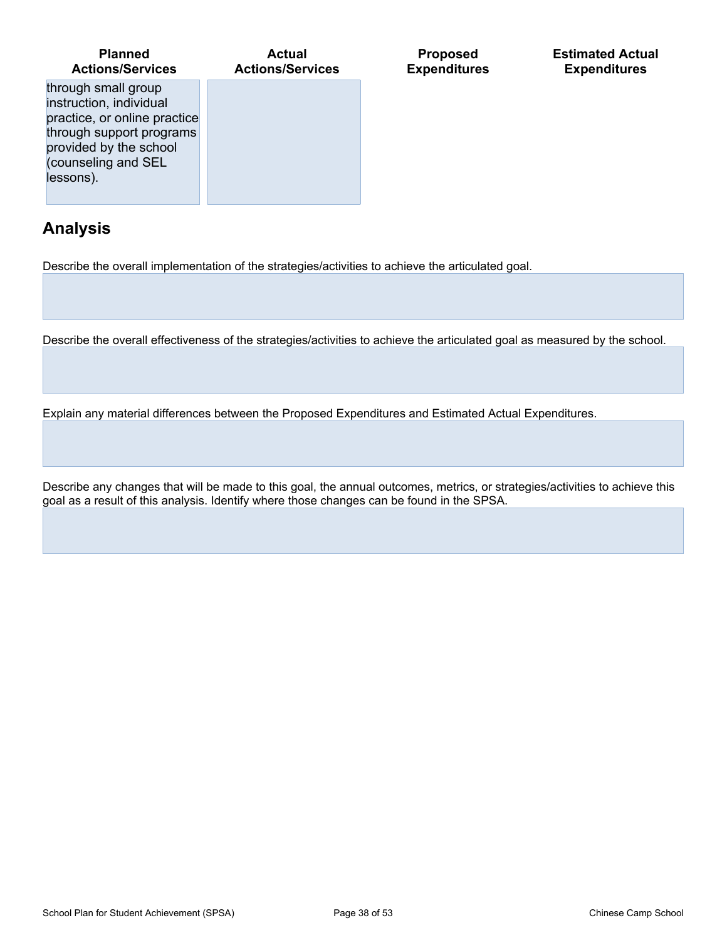| <b>Planned</b><br><b>Actions/Services</b>                                                                                                                                | Actual<br><b>Actions/Services</b> |
|--------------------------------------------------------------------------------------------------------------------------------------------------------------------------|-----------------------------------|
| through small group<br>instruction, individual<br>practice, or online practice<br>through support programs<br>provided by the school<br>(counseling and SEL<br>lessons). |                                   |

## **Analysis**

Describe the overall implementation of the strategies/activities to achieve the articulated goal.

Describe the overall effectiveness of the strategies/activities to achieve the articulated goal as measured by the school.

**Proposed Expenditures** **Estimated Actual Expenditures**

Explain any material differences between the Proposed Expenditures and Estimated Actual Expenditures.

Describe any changes that will be made to this goal, the annual outcomes, metrics, or strategies/activities to achieve this goal as a result of this analysis. Identify where those changes can be found in the SPSA.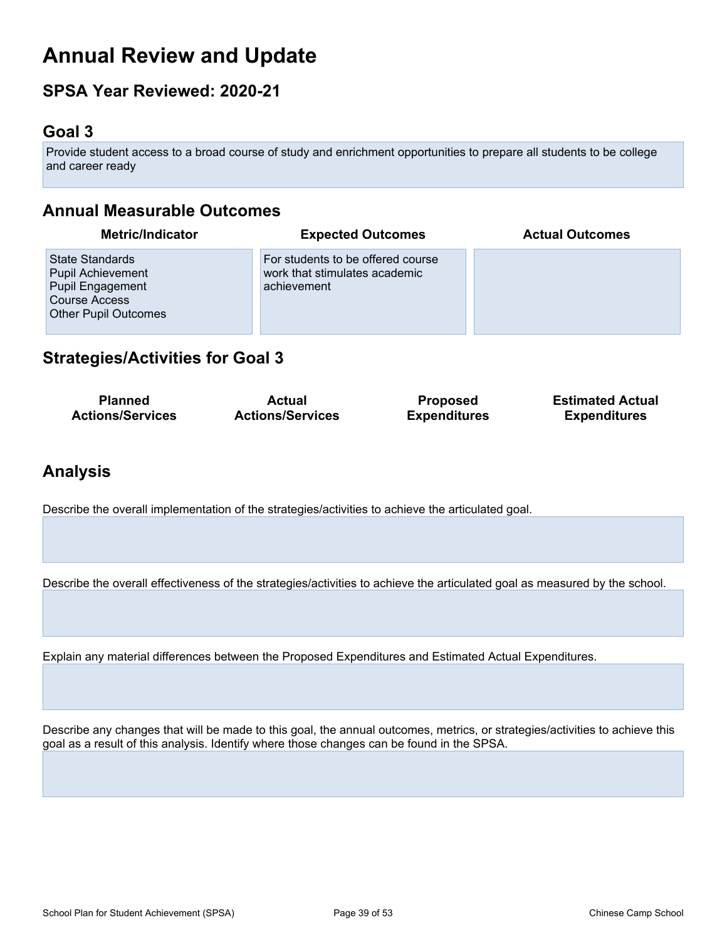# **Annual Review and Update**

## **SPSA Year Reviewed: 2020-21**

## <span id="page-35-0"></span>**Goal 3**

Provide student access to a broad course of study and enrichment opportunities to prepare all students to be college and career ready

## **Annual Measurable Outcomes**

| <b>Metric/Indicator</b>                                                                                                | <b>Expected Outcomes</b>                                                          | <b>Actual Outcomes</b> |
|------------------------------------------------------------------------------------------------------------------------|-----------------------------------------------------------------------------------|------------------------|
| State Standards<br><b>Pupil Achievement</b><br>Pupil Engagement<br><b>Course Access</b><br><b>Other Pupil Outcomes</b> | For students to be offered course<br>work that stimulates academic<br>achievement |                        |

## **Strategies/Activities for Goal 3**

| <b>Planned</b>          | Actual                  | <b>Proposed</b>     | <b>Estimated Actual</b> |
|-------------------------|-------------------------|---------------------|-------------------------|
| <b>Actions/Services</b> | <b>Actions/Services</b> | <b>Expenditures</b> | <b>Expenditures</b>     |

## **Analysis**

Describe the overall implementation of the strategies/activities to achieve the articulated goal.

Describe the overall effectiveness of the strategies/activities to achieve the articulated goal as measured by the school.

Explain any material differences between the Proposed Expenditures and Estimated Actual Expenditures.

Describe any changes that will be made to this goal, the annual outcomes, metrics, or strategies/activities to achieve this goal as a result of this analysis. Identify where those changes can be found in the SPSA.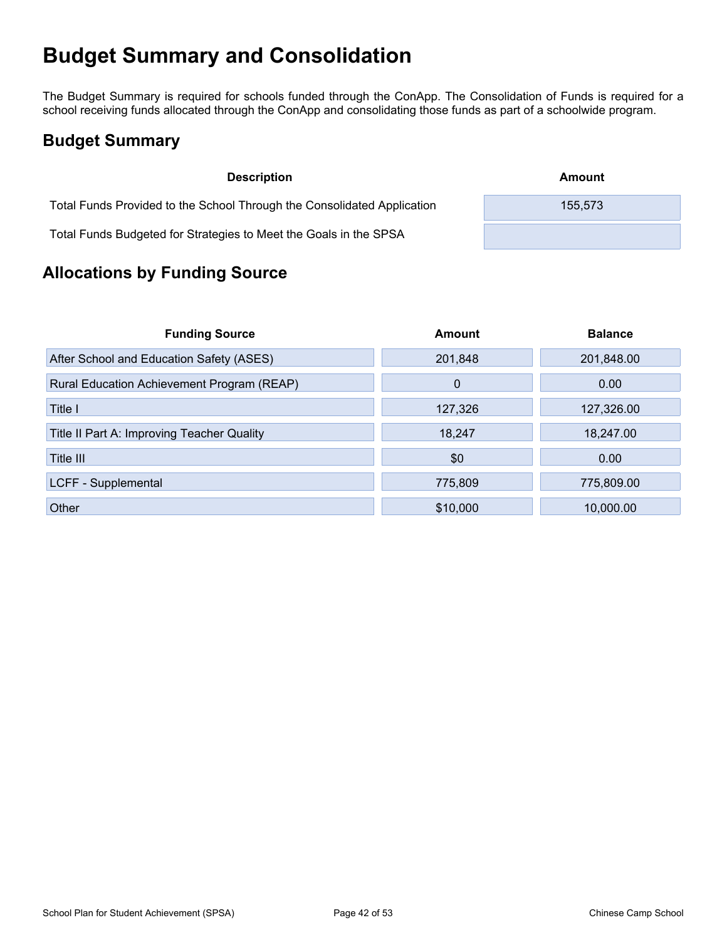# <span id="page-36-0"></span>**Budget Summary and Consolidation**

The Budget Summary is required for schools funded through the ConApp. The Consolidation of Funds is required for a school receiving funds allocated through the ConApp and consolidating those funds as part of a schoolwide program.

## <span id="page-36-1"></span>**Budget Summary**

| <b>Description</b>                                                      | Amount  |
|-------------------------------------------------------------------------|---------|
| Total Funds Provided to the School Through the Consolidated Application | 155,573 |
| Total Funds Budgeted for Strategies to Meet the Goals in the SPSA       |         |

## <span id="page-36-2"></span>**Allocations by Funding Source**

| <b>Funding Source</b>                      | Amount      | <b>Balance</b> |
|--------------------------------------------|-------------|----------------|
| After School and Education Safety (ASES)   | 201,848     | 201,848.00     |
| Rural Education Achievement Program (REAP) | $\mathbf 0$ | 0.00           |
| Title I                                    | 127,326     | 127,326.00     |
| Title II Part A: Improving Teacher Quality | 18,247      | 18,247.00      |
| Title III                                  | \$0         | 0.00           |
| LCFF - Supplemental                        | 775,809     | 775,809.00     |
| Other                                      | \$10,000    | 10,000.00      |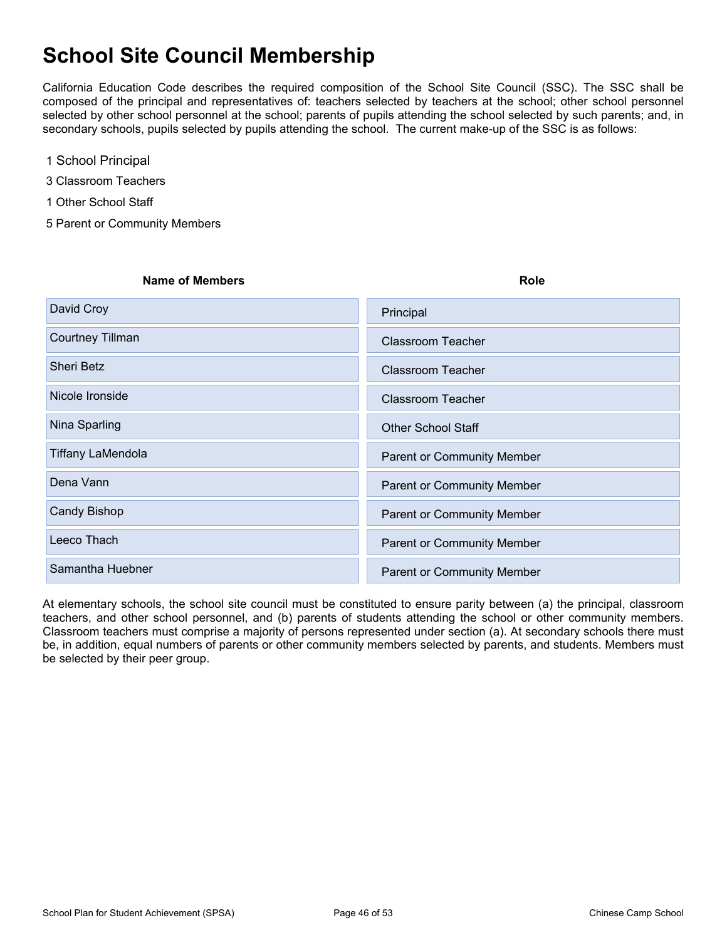# <span id="page-37-0"></span>**School Site Council Membership**

California Education Code describes the required composition of the School Site Council (SSC). The SSC shall be composed of the principal and representatives of: teachers selected by teachers at the school; other school personnel selected by other school personnel at the school; parents of pupils attending the school selected by such parents; and, in secondary schools, pupils selected by pupils attending the school. The current make-up of the SSC is as follows:

- 1 School Principal
- 3 Classroom Teachers
- 1 Other School Staff
- 5 Parent or Community Members

| <b>Name of Members</b>   | <b>Role</b>                       |
|--------------------------|-----------------------------------|
| David Croy               | Principal                         |
| Courtney Tillman         | Classroom Teacher                 |
| <b>Sheri Betz</b>        | <b>Classroom Teacher</b>          |
| Nicole Ironside          | Classroom Teacher                 |
| Nina Sparling            | <b>Other School Staff</b>         |
| <b>Tiffany LaMendola</b> | <b>Parent or Community Member</b> |
| Dena Vann                | <b>Parent or Community Member</b> |
| <b>Candy Bishop</b>      | <b>Parent or Community Member</b> |
| Leeco Thach              | <b>Parent or Community Member</b> |
| Samantha Huebner         | <b>Parent or Community Member</b> |

At elementary schools, the school site council must be constituted to ensure parity between (a) the principal, classroom teachers, and other school personnel, and (b) parents of students attending the school or other community members. Classroom teachers must comprise a majority of persons represented under section (a). At secondary schools there must be, in addition, equal numbers of parents or other community members selected by parents, and students. Members must be selected by their peer group.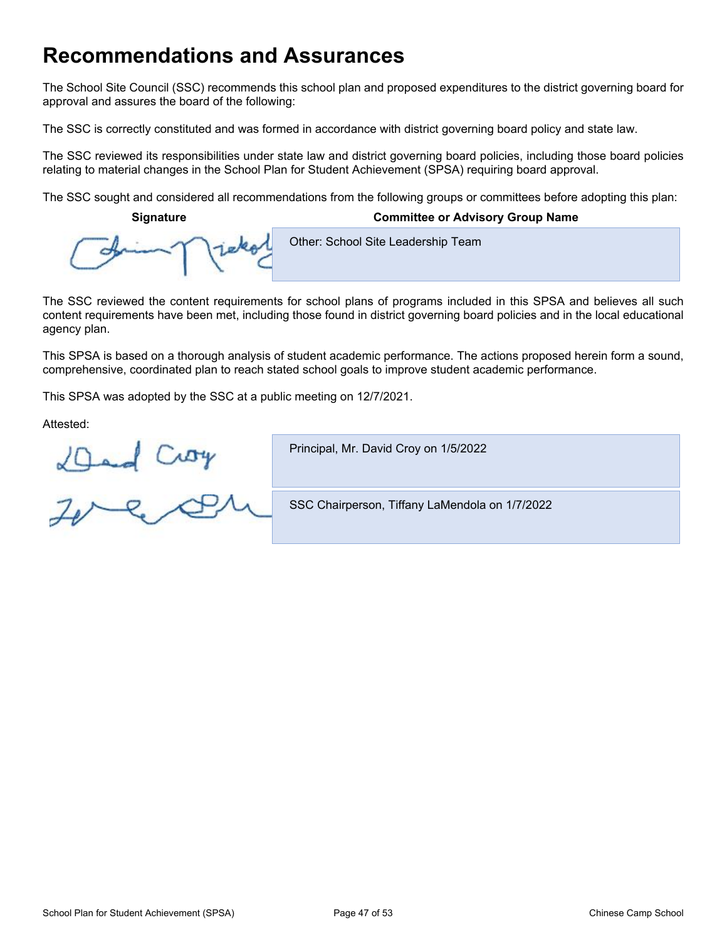# <span id="page-38-0"></span>**Recommendations and Assurances**

The School Site Council (SSC) recommends this school plan and proposed expenditures to the district governing board for approval and assures the board of the following:

The SSC is correctly constituted and was formed in accordance with district governing board policy and state law.

The SSC reviewed its responsibilities under state law and district governing board policies, including those board policies relating to material changes in the School Plan for Student Achievement (SPSA) requiring board approval.

The SSC sought and considered all recommendations from the following groups or committees before adopting this plan:

**Signature Committee or Advisory Group Name**

Other: School Site Leadership Team

The SSC reviewed the content requirements for school plans of programs included in this SPSA and believes all such content requirements have been met, including those found in district governing board policies and in the local educational agency plan.

This SPSA is based on a thorough analysis of student academic performance. The actions proposed herein form a sound, comprehensive, coordinated plan to reach stated school goals to improve student academic performance.

This SPSA was adopted by the SSC at a public meeting on 12/7/2021.

Attested:

Principal, Mr. David Croy on 1/5/2022

Ded Croy<br>Zere CP

SSC Chairperson, Tiffany LaMendola on 1/7/2022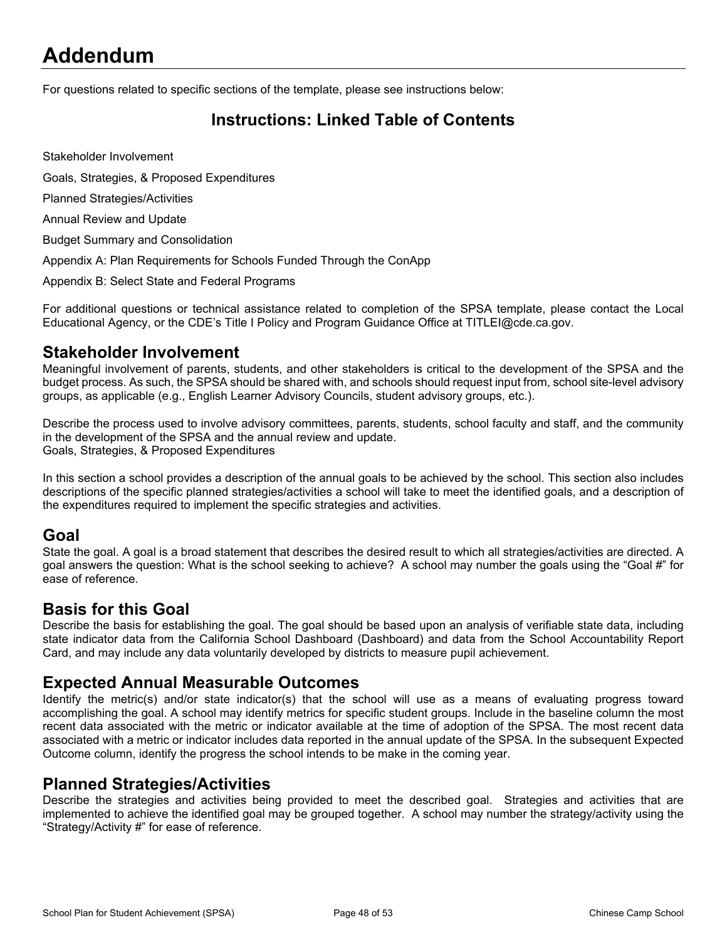# <span id="page-39-0"></span>**Addendum**

For questions related to specific sections of the template, please see instructions below:

## <span id="page-39-1"></span>**Instructions: Linked Table of Contents**

Stakeholder Involvement

Goals, Strategies, & Proposed Expenditures

Planned Strategies/Activities

Annual Review and Update

Budget Summary and Consolidation

Appendix A: Plan Requirements for Schools Funded Through the ConApp

Appendix B: Select State and Federal Programs

For additional questions or technical assistance related to completion of the SPSA template, please contact the Local Educational Agency, or the CDE's Title I Policy and Program Guidance Office at TITLEI@cde.ca.gov.

#### **Stakeholder Involvement**

Meaningful involvement of parents, students, and other stakeholders is critical to the development of the SPSA and the budget process. As such, the SPSA should be shared with, and schools should request input from, school site-level advisory groups, as applicable (e.g., English Learner Advisory Councils, student advisory groups, etc.).

Describe the process used to involve advisory committees, parents, students, school faculty and staff, and the community in the development of the SPSA and the annual review and update. Goals, Strategies, & Proposed Expenditures

In this section a school provides a description of the annual goals to be achieved by the school. This section also includes descriptions of the specific planned strategies/activities a school will take to meet the identified goals, and a description of the expenditures required to implement the specific strategies and activities.

#### **Goal**

State the goal. A goal is a broad statement that describes the desired result to which all strategies/activities are directed. A goal answers the question: What is the school seeking to achieve? A school may number the goals using the "Goal #" for ease of reference.

#### **Basis for this Goal**

Describe the basis for establishing the goal. The goal should be based upon an analysis of verifiable state data, including state indicator data from the California School Dashboard (Dashboard) and data from the School Accountability Report Card, and may include any data voluntarily developed by districts to measure pupil achievement.

#### **Expected Annual Measurable Outcomes**

Identify the metric(s) and/or state indicator(s) that the school will use as a means of evaluating progress toward accomplishing the goal. A school may identify metrics for specific student groups. Include in the baseline column the most recent data associated with the metric or indicator available at the time of adoption of the SPSA. The most recent data associated with a metric or indicator includes data reported in the annual update of the SPSA. In the subsequent Expected Outcome column, identify the progress the school intends to be make in the coming year.

#### **Planned Strategies/Activities**

Describe the strategies and activities being provided to meet the described goal. Strategies and activities that are implemented to achieve the identified goal may be grouped together. A school may number the strategy/activity using the "Strategy/Activity #" for ease of reference.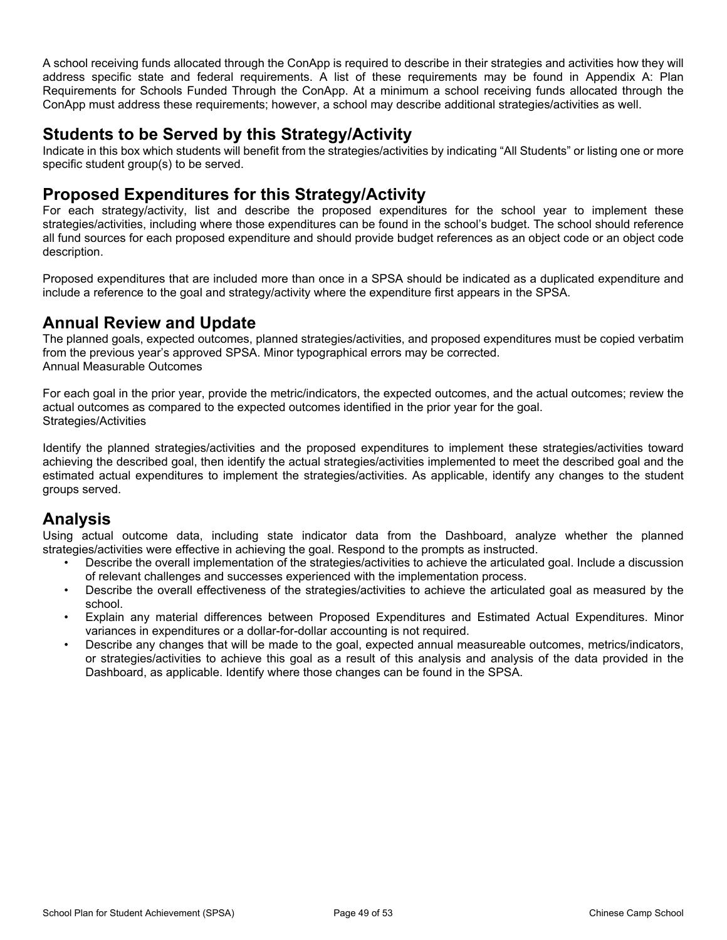A school receiving funds allocated through the ConApp is required to describe in their strategies and activities how they will address specific state and federal requirements. A list of these requirements may be found in Appendix A: Plan Requirements for Schools Funded Through the ConApp. At a minimum a school receiving funds allocated through the ConApp must address these requirements; however, a school may describe additional strategies/activities as well.

## **Students to be Served by this Strategy/Activity**

Indicate in this box which students will benefit from the strategies/activities by indicating "All Students" or listing one or more specific student group(s) to be served.

### **Proposed Expenditures for this Strategy/Activity**

For each strategy/activity, list and describe the proposed expenditures for the school year to implement these strategies/activities, including where those expenditures can be found in the school's budget. The school should reference all fund sources for each proposed expenditure and should provide budget references as an object code or an object code description.

Proposed expenditures that are included more than once in a SPSA should be indicated as a duplicated expenditure and include a reference to the goal and strategy/activity where the expenditure first appears in the SPSA.

## **Annual Review and Update**

The planned goals, expected outcomes, planned strategies/activities, and proposed expenditures must be copied verbatim from the previous year's approved SPSA. Minor typographical errors may be corrected. Annual Measurable Outcomes

For each goal in the prior year, provide the metric/indicators, the expected outcomes, and the actual outcomes; review the actual outcomes as compared to the expected outcomes identified in the prior year for the goal. Strategies/Activities

Identify the planned strategies/activities and the proposed expenditures to implement these strategies/activities toward achieving the described goal, then identify the actual strategies/activities implemented to meet the described goal and the estimated actual expenditures to implement the strategies/activities. As applicable, identify any changes to the student groups served.

## **Analysis**

Using actual outcome data, including state indicator data from the Dashboard, analyze whether the planned strategies/activities were effective in achieving the goal. Respond to the prompts as instructed.

- Describe the overall implementation of the strategies/activities to achieve the articulated goal. Include a discussion of relevant challenges and successes experienced with the implementation process.
- Describe the overall effectiveness of the strategies/activities to achieve the articulated goal as measured by the school.
- Explain any material differences between Proposed Expenditures and Estimated Actual Expenditures. Minor variances in expenditures or a dollar-for-dollar accounting is not required.
- Describe any changes that will be made to the goal, expected annual measureable outcomes, metrics/indicators, or strategies/activities to achieve this goal as a result of this analysis and analysis of the data provided in the Dashboard, as applicable. Identify where those changes can be found in the SPSA.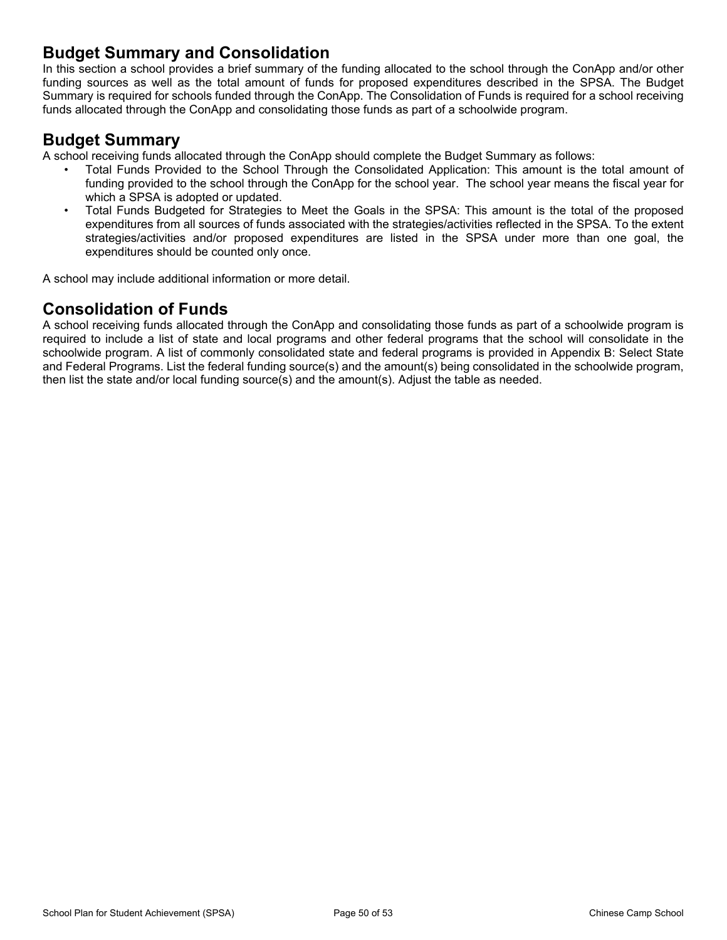## **Budget Summary and Consolidation**

In this section a school provides a brief summary of the funding allocated to the school through the ConApp and/or other funding sources as well as the total amount of funds for proposed expenditures described in the SPSA. The Budget Summary is required for schools funded through the ConApp. The Consolidation of Funds is required for a school receiving funds allocated through the ConApp and consolidating those funds as part of a schoolwide program.

### **Budget Summary**

A school receiving funds allocated through the ConApp should complete the Budget Summary as follows:

- Total Funds Provided to the School Through the Consolidated Application: This amount is the total amount of funding provided to the school through the ConApp for the school year. The school year means the fiscal year for which a SPSA is adopted or updated.
- Total Funds Budgeted for Strategies to Meet the Goals in the SPSA: This amount is the total of the proposed expenditures from all sources of funds associated with the strategies/activities reflected in the SPSA. To the extent strategies/activities and/or proposed expenditures are listed in the SPSA under more than one goal, the expenditures should be counted only once.

A school may include additional information or more detail.

## **Consolidation of Funds**

A school receiving funds allocated through the ConApp and consolidating those funds as part of a schoolwide program is required to include a list of state and local programs and other federal programs that the school will consolidate in the schoolwide program. A list of commonly consolidated state and federal programs is provided in Appendix B: Select State and Federal Programs. List the federal funding source(s) and the amount(s) being consolidated in the schoolwide program, then list the state and/or local funding source(s) and the amount(s). Adjust the table as needed.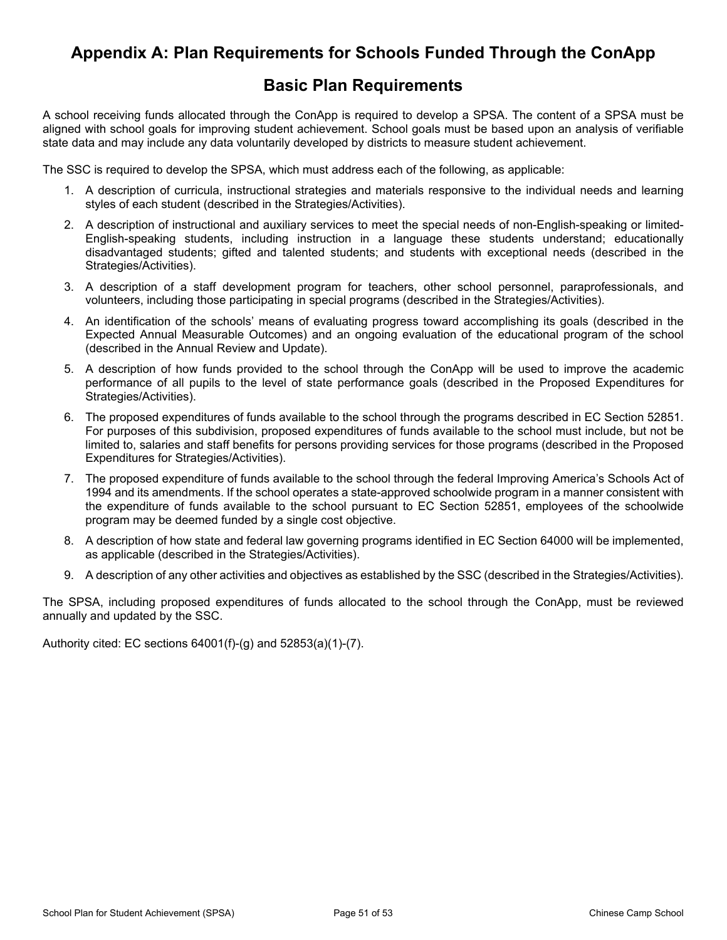## <span id="page-42-0"></span>**Appendix A: Plan Requirements for Schools Funded Through the ConApp**

## **Basic Plan Requirements**

A school receiving funds allocated through the ConApp is required to develop a SPSA. The content of a SPSA must be aligned with school goals for improving student achievement. School goals must be based upon an analysis of verifiable state data and may include any data voluntarily developed by districts to measure student achievement.

The SSC is required to develop the SPSA, which must address each of the following, as applicable:

- 1. A description of curricula, instructional strategies and materials responsive to the individual needs and learning styles of each student (described in the Strategies/Activities).
- 2. A description of instructional and auxiliary services to meet the special needs of non-English-speaking or limited-English-speaking students, including instruction in a language these students understand; educationally disadvantaged students; gifted and talented students; and students with exceptional needs (described in the Strategies/Activities).
- 3. A description of a staff development program for teachers, other school personnel, paraprofessionals, and volunteers, including those participating in special programs (described in the Strategies/Activities).
- 4. An identification of the schools' means of evaluating progress toward accomplishing its goals (described in the Expected Annual Measurable Outcomes) and an ongoing evaluation of the educational program of the school (described in the Annual Review and Update).
- 5. A description of how funds provided to the school through the ConApp will be used to improve the academic performance of all pupils to the level of state performance goals (described in the Proposed Expenditures for Strategies/Activities).
- 6. The proposed expenditures of funds available to the school through the programs described in EC Section 52851. For purposes of this subdivision, proposed expenditures of funds available to the school must include, but not be limited to, salaries and staff benefits for persons providing services for those programs (described in the Proposed Expenditures for Strategies/Activities).
- 7. The proposed expenditure of funds available to the school through the federal Improving America's Schools Act of 1994 and its amendments. If the school operates a state-approved schoolwide program in a manner consistent with the expenditure of funds available to the school pursuant to EC Section 52851, employees of the schoolwide program may be deemed funded by a single cost objective.
- 8. A description of how state and federal law governing programs identified in EC Section 64000 will be implemented, as applicable (described in the Strategies/Activities).
- 9. A description of any other activities and objectives as established by the SSC (described in the Strategies/Activities).

The SPSA, including proposed expenditures of funds allocated to the school through the ConApp, must be reviewed annually and updated by the SSC.

Authority cited: EC sections 64001(f)-(g) and 52853(a)(1)-(7).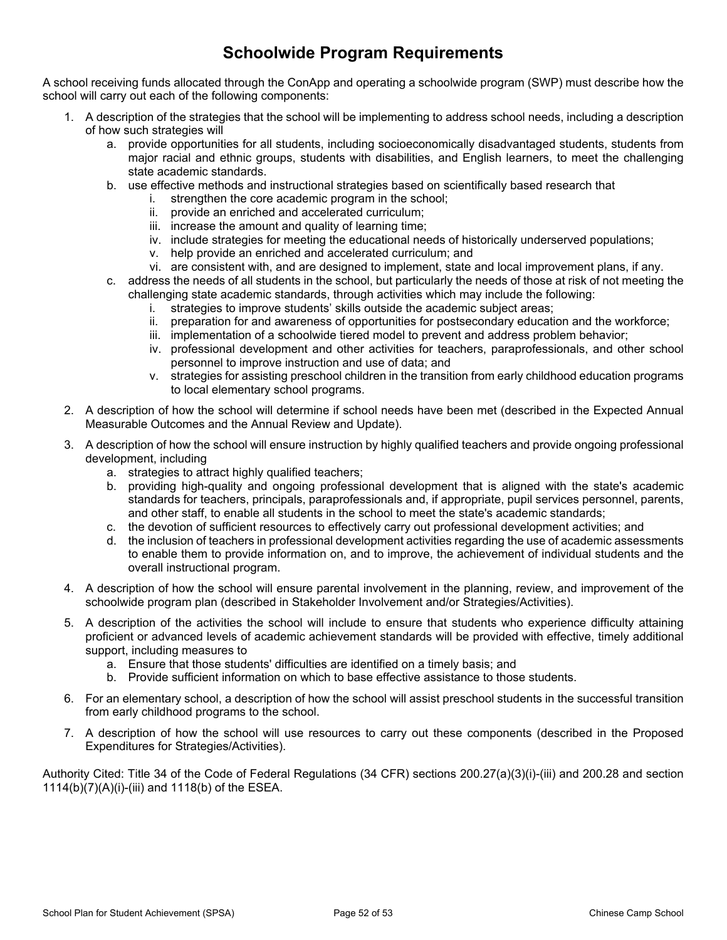## **Schoolwide Program Requirements**

A school receiving funds allocated through the ConApp and operating a schoolwide program (SWP) must describe how the school will carry out each of the following components:

- 1. A description of the strategies that the school will be implementing to address school needs, including a description of how such strategies will
	- a. provide opportunities for all students, including socioeconomically disadvantaged students, students from major racial and ethnic groups, students with disabilities, and English learners, to meet the challenging state academic standards.
	- b. use effective methods and instructional strategies based on scientifically based research that
		- i. strengthen the core academic program in the school;
		- ii. provide an enriched and accelerated curriculum;
		- iii. increase the amount and quality of learning time;
		- iv. include strategies for meeting the educational needs of historically underserved populations;
		- v. help provide an enriched and accelerated curriculum; and
		- vi. are consistent with, and are designed to implement, state and local improvement plans, if any.
	- c. address the needs of all students in the school, but particularly the needs of those at risk of not meeting the challenging state academic standards, through activities which may include the following:
		- i. strategies to improve students' skills outside the academic subject areas;
		- ii. preparation for and awareness of opportunities for postsecondary education and the workforce;
		- iii. implementation of a schoolwide tiered model to prevent and address problem behavior;
		- iv. professional development and other activities for teachers, paraprofessionals, and other school personnel to improve instruction and use of data; and
		- v. strategies for assisting preschool children in the transition from early childhood education programs to local elementary school programs.
- 2. A description of how the school will determine if school needs have been met (described in the Expected Annual Measurable Outcomes and the Annual Review and Update).
- 3. A description of how the school will ensure instruction by highly qualified teachers and provide ongoing professional development, including
	- a. strategies to attract highly qualified teachers;
	- b. providing high-quality and ongoing professional development that is aligned with the state's academic standards for teachers, principals, paraprofessionals and, if appropriate, pupil services personnel, parents, and other staff, to enable all students in the school to meet the state's academic standards;
	- c. the devotion of sufficient resources to effectively carry out professional development activities; and
	- d. the inclusion of teachers in professional development activities regarding the use of academic assessments to enable them to provide information on, and to improve, the achievement of individual students and the overall instructional program.
- 4. A description of how the school will ensure parental involvement in the planning, review, and improvement of the schoolwide program plan (described in Stakeholder Involvement and/or Strategies/Activities).
- 5. A description of the activities the school will include to ensure that students who experience difficulty attaining proficient or advanced levels of academic achievement standards will be provided with effective, timely additional support, including measures to
	- a. Ensure that those students' difficulties are identified on a timely basis; and
	- b. Provide sufficient information on which to base effective assistance to those students.
- 6. For an elementary school, a description of how the school will assist preschool students in the successful transition from early childhood programs to the school.
- 7. A description of how the school will use resources to carry out these components (described in the Proposed Expenditures for Strategies/Activities).

Authority Cited: Title 34 of the Code of Federal Regulations (34 CFR) sections 200.27(a)(3)(i)-(iii) and 200.28 and section 1114(b)(7)(A)(i)-(iii) and 1118(b) of the ESEA.